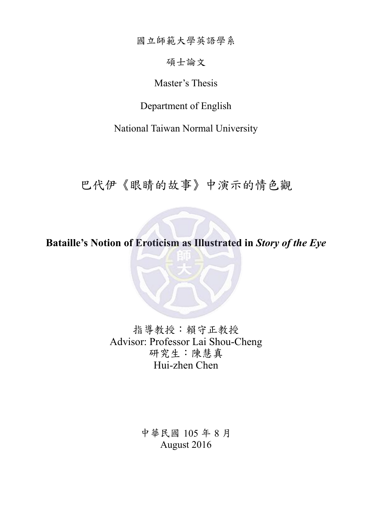國立師範大學英語學系 

碩士論文 

Master's Thesis

Department of English

National Taiwan Normal University

巴代伊《眼睛的故事》中演示的情色觀 

**Bataille's Notion of Eroticism as Illustrated in** *Story of the Eye* 

指導教授:賴守正教授 Advisor: Professor Lai Shou-Cheng 研究生:陳慧真 Hui-zhen Chen

> 中華民國 105 年 8 月 August 2016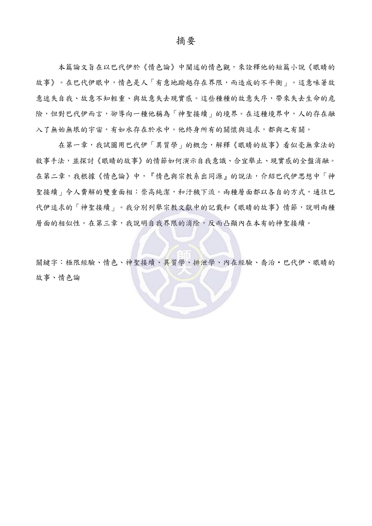# 摘要

本篇論文旨在以巴代伊於《情色論》中闡述的情色觀,來詮釋他的短篇小說《眼睛的 故事》。在巴代伊眼中,情色是人「有意地踰越存在界限,而造成的不平衡」。這意味著故 意迷失自我、故意不知輕重、與故意失去現實感。這些種種的故意失序,帶來失去生命的危 險,但對巴代伊而言,卻導向一種他稱為「神聖接續」的境界。在這種境界中,人的存在融 入了無始無垠的宇宙,有如水存在於水中。他終身所有的關懷與追求,都與之有關。 

在第一章,我試圖用巴代伊「異質學」的概念,解釋《眼睛的故事》看似毫無章法的 敘事手法,並探討《眼睛的故事》的情節如何演示自我意識、合宜舉止、現實感的全盤消融。 在第二章,我根據《情色論》中,『情色與宗教系出同源』的說法,介紹巴代伊思想中「神 聖接續 | 令人費解的雙重面相:崇高純潔,和汙穢下流。兩種層面都以各自的方式,通往巴 代伊追求的「神聖接續」。我分別列舉宗教文獻中的記載和《眼睛的故事》情節,說明兩種 層面的相似性。在第三章,我說明自我界限的消除,反而凸顯內在本有的神聖接續。

關鍵字:極限經驗、情色、神聖接續、異質學、排泄學、內在經驗、喬治·巴代伊、眼睛的 故事、情色論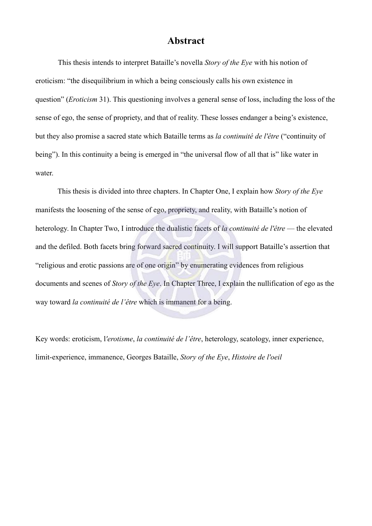# **Abstract**

 This thesis intends to interpret Bataille's novella *Story of the Eye* with his notion of eroticism: "the disequilibrium in which a being consciously calls his own existence in question" (*Eroticism* 31). This questioning involves a general sense of loss, including the loss of the sense of ego, the sense of propriety, and that of reality. These losses endanger a being's existence, but they also promise a sacred state which Bataille terms as *la continuité de l'être* ("continuity of being"). In this continuity a being is emerged in "the universal flow of all that is" like water in water.

This thesis is divided into three chapters. In Chapter One, I explain how *Story of the Eye* manifests the loosening of the sense of ego, propriety, and reality, with Bataille's notion of heterology. In Chapter Two, I introduce the dualistic facets of *la continuité de l'être* — the elevated and the defiled. Both facets bring forward sacred continuity. I will support Bataille's assertion that "religious and erotic passions are of one origin" by enumerating evidences from religious documents and scenes of *Story of the Eye*. In Chapter Three, I explain the nullification of ego as the way toward *la continuité de l'être* which is immanent for a being.

Key words: eroticism, l*'erotisme*, *la continuité de l'être*, heterology, scatology, inner experience, limit-experience, immanence, Georges Bataille, *Story of the Eye*, *Histoire de l'oeil*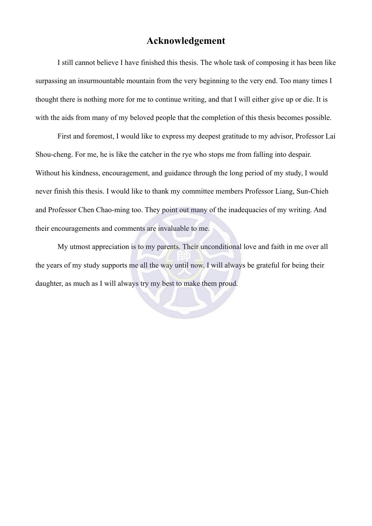# **Acknowledgement**

I still cannot believe I have finished this thesis. The whole task of composing it has been like surpassing an insurmountable mountain from the very beginning to the very end. Too many times I thought there is nothing more for me to continue writing, and that I will either give up or die. It is with the aids from many of my beloved people that the completion of this thesis becomes possible.

First and foremost, I would like to express my deepest gratitude to my advisor, Professor Lai Shou-cheng. For me, he is like the catcher in the rye who stops me from falling into despair. Without his kindness, encouragement, and guidance through the long period of my study, I would never finish this thesis. I would like to thank my committee members Professor Liang, Sun-Chieh and Professor Chen Chao-ming too. They point out many of the inadequacies of my writing. And their encouragements and comments are invaluable to me.

My utmost appreciation is to my parents. Their unconditional love and faith in me over all the years of my study supports me all the way until now. I will always be grateful for being their daughter, as much as I will always try my best to make them proud.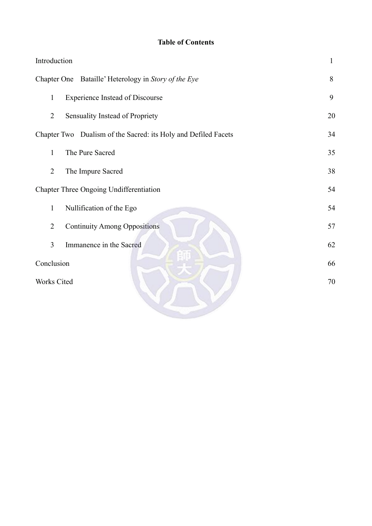# **Table of Contents**

| Introduction                                                   | 1      |
|----------------------------------------------------------------|--------|
| Chapter One Bataille' Heterology in Story of the Eye           | 8      |
| <b>Experience Instead of Discourse</b><br>$\mathbf{1}$         | 9      |
| $\overline{2}$<br>Sensuality Instead of Propriety              | 20     |
| Chapter Two Dualism of the Sacred: its Holy and Defiled Facets | 34     |
| The Pure Sacred<br>$\mathbf{1}$                                | 35     |
| $\sqrt{2}$<br>The Impure Sacred                                | 38     |
| Chapter Three Ongoing Undifferentiation                        | 54     |
| Nullification of the Ego<br>$\mathbf{1}$                       | 54     |
| $\overline{2}$<br><b>Continuity Among Oppositions</b>          | 57     |
| $\overline{3}$<br>Immanence in the Sacred                      | 62     |
| Conclusion                                                     | 66     |
| Works Cited                                                    | $70\,$ |
|                                                                |        |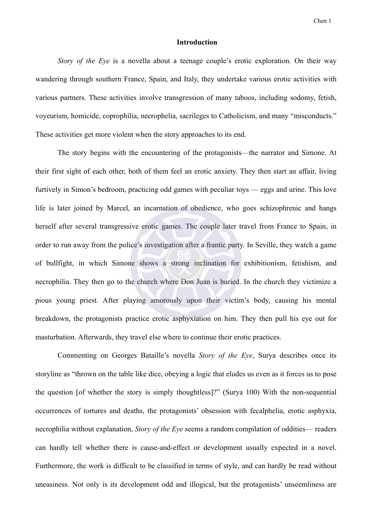### **Introduction**

*Story of the Eye* is a novella about a teenage couple's erotic exploration. On their way wandering through southern France, Spain, and Italy, they undertake various erotic activities with various partners. These activities involve transgression of many taboos, including sodomy, fetish, voyeurism, homicide, coprophilia, necrophelia, sacrileges to Catholicism, and many "misconducts." These activities get more violent when the story approaches to its end.

The story begins with the encountering of the protagonists—the narrator and Simone. At their first sight of each other, both of them feel an erotic anxiety. They then start an affair, living furtively in Simon's bedroom, practicing odd games with peculiar toys — eggs and urine. This love life is later joined by Marcel, an incarnation of obedience, who goes schizophrenic and hangs herself after several transgressive erotic games. The couple later travel from France to Spain, in order to run away from the police's investigation after a frantic party. In Seville, they watch a game of bullfight, in which Simone shows a strong inclination for exhibitionism, fetishism, and necrophilia. They then go to the church where Don Juan is buried. In the church they victimize a pious young priest. After playing amorously upon their victim's body, causing his mental breakdown, the protagonists practice erotic asphyxiation on him. They then pull his eye out for masturbation. Afterwards, they travel else where to continue their erotic practices.

Commenting on Georges Bataille's novella *Story of the Eye*, Surya describes once its storyline as "thrown on the table like dice, obeying a logic that eludes us even as it forces us to pose the question [of whether the story is simply thoughtless]?" (Surya 100) With the non-sequential occurrences of tortures and deaths, the protagonists' obsession with fecalphelia, erotic asphyxia, necrophilia without explanation, *Story of the Eye* seems a random compilation of oddities— readers can hardly tell whether there is cause-and-effect or development usually expected in a novel. Furthermore, the work is difficult to be classified in terms of style, and can hardly be read without uneasiness. Not only is its development odd and illogical, but the protagonists' unseemliness are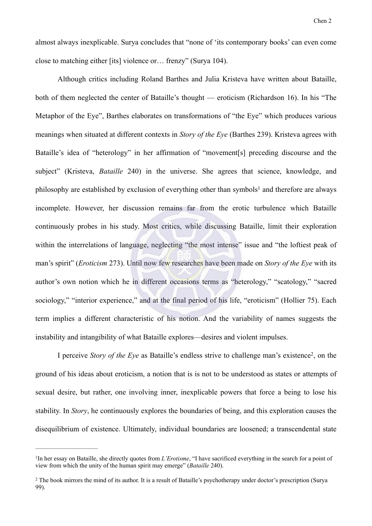almost always inexplicable. Surya concludes that "none of 'its contemporary books' can even come close to matching either [its] violence or… frenzy" (Surya 104).

Although critics including Roland Barthes and Julia Kristeva have written about Bataille, both of them neglected the center of Bataille's thought — eroticism (Richardson 16). In his "The Metaphor of the Eye", Barthes elaborates on transformations of "the Eye" which produces various meanings when situated at different contexts in *Story of the Eye* (Barthes 239). Kristeva agrees with Bataille's idea of "heterology" in her affirmation of "movement[s] preceding discourse and the subject" (Kristeva, *Bataille* 240) in the universe. She agrees that science, knowledge, and philosophy are established by exclusion of everything other than symbols<sup>1</sup> and therefore are always incomplete. However, her discussion remains far from the erotic turbulence which Bataille continuously probes in his study. Most critics, while discussing Bataille, limit their exploration within the interrelations of language, neglecting "the most intense" issue and "the loftiest peak of man's spirit" (*Eroticism* 273). Until now few researches have been made on *Story of the Eye* with its author's own notion which he in different occasions terms as "heterology," "scatology," "sacred sociology," "interior experience," and at the final period of his life, "eroticism" (Hollier 75). Each term implies a different characteristic of his notion. And the variability of names suggests the instability and intangibility of what Bataille explores—desires and violent impulses.

I perceive *Story of the Eye* as Bataille's endless strive to challenge man's existence<sup>2</sup>, on the ground of his ideas about eroticism, a notion that is is not to be understood as states or attempts of sexual desire, but rather, one involving inner, inexplicable powers that force a being to lose his stability. In *Story*, he continuously explores the boundaries of being, and this exploration causes the disequilibrium of existence. Ultimately, individual boundaries are loosened; a transcendental state

<sup>&</sup>lt;sup>1</sup>In her essay on Bataille, she directly quotes from *L'Erotisme*, "I have sacrificed everything in the search for a point of view from which the unity of the human spirit may emerge" (*Bataille* 240).

<sup>&</sup>lt;sup>2</sup> The book mirrors the mind of its author. It is a result of Bataille's psychotherapy under doctor's prescription (Surya 99).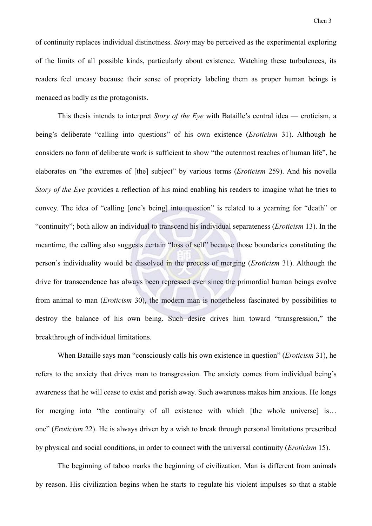of continuity replaces individual distinctness. *Story* may be perceived as the experimental exploring of the limits of all possible kinds, particularly about existence. Watching these turbulences, its readers feel uneasy because their sense of propriety labeling them as proper human beings is menaced as badly as the protagonists.

This thesis intends to interpret *Story of the Eye* with Bataille's central idea — eroticism, a being's deliberate "calling into questions" of his own existence (*Eroticism* 31). Although he considers no form of deliberate work is sufficient to show "the outermost reaches of human life", he elaborates on "the extremes of [the] subject" by various terms (*Eroticism* 259). And his novella *Story of the Eye* provides a reflection of his mind enabling his readers to imagine what he tries to convey. The idea of "calling [one's being] into question" is related to a yearning for "death" or "continuity"; both allow an individual to transcend his individual separateness (*Eroticism* 13). In the meantime, the calling also suggests certain "loss of self" because those boundaries constituting the person's individuality would be dissolved in the process of merging (*Eroticism* 31). Although the drive for transcendence has always been repressed ever since the primordial human beings evolve from animal to man (*Eroticism* 30), the modern man is nonetheless fascinated by possibilities to destroy the balance of his own being. Such desire drives him toward "transgression," the breakthrough of individual limitations.

When Bataille says man "consciously calls his own existence in question" (*Eroticism* 31), he refers to the anxiety that drives man to transgression. The anxiety comes from individual being's awareness that he will cease to exist and perish away. Such awareness makes him anxious. He longs for merging into "the continuity of all existence with which [the whole universe] is... one" (*Eroticism* 22). He is always driven by a wish to break through personal limitations prescribed by physical and social conditions, in order to connect with the universal continuity (*Eroticism* 15).

The beginning of taboo marks the beginning of civilization. Man is different from animals by reason. His civilization begins when he starts to regulate his violent impulses so that a stable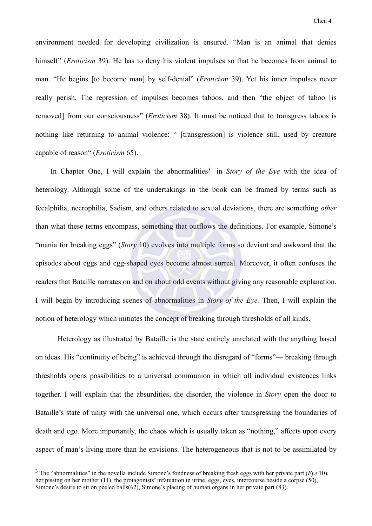environment needed for developing civilization is ensured. "Man is an animal that denies himself" *(Eroticism* 39). He has to deny his violent impulses so that he becomes from animal to man. "He begins [to become man] by self-denial" (*Eroticism* 39). Yet his inner impulses never really perish. The repression of impulses becomes taboos, and then "the object of taboo [is removed] from our consciousness" (*Eroticism* 38). It must be noticed that to transgress taboos is nothing like returning to animal violence: " [transgression] is violence still, used by creature capable of reason" (*Eroticism* 65).

In Chapter One, I will explain the abnormalities<sup>3</sup> in *Story of the Eye* with the idea of heterology. Although some of the undertakings in the book can be framed by terms such as fecalphilia, necrophilia, Sadism, and others related to sexual deviations, there are something *other* than what these terms encompass, something that outflows the definitions. For example, Simone's "mania for breaking eggs" (*Story* 10) evolves into multiple forms so deviant and awkward that the episodes about eggs and egg-shaped eyes become almost surreal. Moreover, it often confuses the readers that Bataille narrates on and on about odd events without giving any reasonable explanation. I will begin by introducing scenes of abnormalities in *Story of the Eye.* Then, I will explain the notion of heterology which initiates the concept of breaking through thresholds of all kinds.

Heterology as illustrated by Bataille is the state entirely unrelated with the anything based on ideas. His "continuity of being" is achieved through the disregard of "forms"— breaking through thresholds opens possibilities to a universal communion in which all individual existences links together. I will explain that the absurdities, the disorder, the violence in *Story* open the door to Bataille's state of unity with the universal one, which occurs after transgressing the boundaries of death and ego. More importantly, the chaos which is usually taken as "nothing," affects upon every aspect of man's living more than he envisions. The heterogeneous that is not to be assimilated by

<sup>&</sup>lt;sup>3</sup> The "abnormalities" in the novella include Simone's fondness of breaking fresh eggs with her private part (*Eye* 10), her pissing on her mother (11), the protagonists' infatuation in urine, eggs, eyes, intercourse beside a corpse (50), Simone's desire to sit on peeled balls(62), Simone's placing of human organs in her private part (83).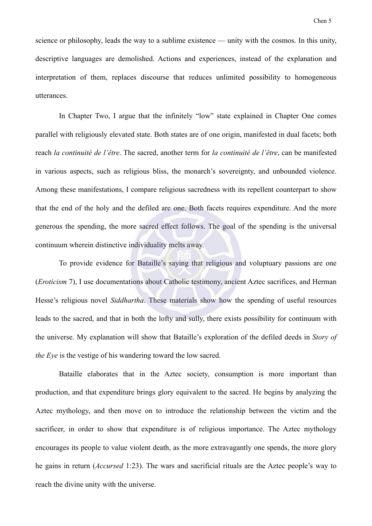science or philosophy, leads the way to a sublime existence — unity with the cosmos. In this unity, descriptive languages are demolished. Actions and experiences, instead of the explanation and interpretation of them, replaces discourse that reduces unlimited possibility to homogeneous utterances.

 In Chapter Two, I argue that the infinitely "low" state explained in Chapter One comes parallel with religiously elevated state. Both states are of one origin, manifested in dual facets; both reach *la continuité de l'être*. The sacred, another term for *la continuité de l'être*, can be manifested in various aspects, such as religious bliss, the monarch's sovereignty, and unbounded violence. Among these manifestations, I compare religious sacredness with its repellent counterpart to show that the end of the holy and the defiled are one. Both facets requires expenditure. And the more generous the spending, the more sacred effect follows. The goal of the spending is the universal continuum wherein distinctive individuality melts away.

 To provide evidence for Bataille's saying that religious and voluptuary passions are one (*Eroticism* 7), I use documentations about Catholic testimony, ancient Aztec sacrifices, and Herman Hesse's religious novel *Siddhartha*. These materials show how the spending of useful resources leads to the sacred, and that in both the lofty and sully, there exists possibility for continuum with the universe. My explanation will show that Bataille's exploration of the defiled deeds in *Story of the Eye* is the vestige of his wandering toward the low sacred.

 Bataille elaborates that in the Aztec society, consumption is more important than production, and that expenditure brings glory equivalent to the sacred. He begins by analyzing the Aztec mythology, and then move on to introduce the relationship between the victim and the sacrificer, in order to show that expenditure is of religious importance. The Aztec mythology encourages its people to value violent death, as the more extravagantly one spends, the more glory he gains in return (*Accursed* 1:23). The wars and sacrificial rituals are the Aztec people's way to reach the divine unity with the universe.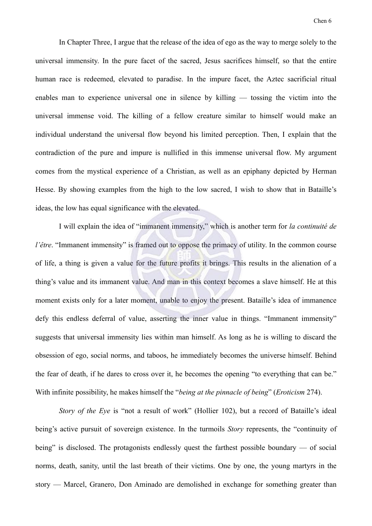In Chapter Three, I argue that the release of the idea of ego as the way to merge solely to the universal immensity. In the pure facet of the sacred, Jesus sacrifices himself, so that the entire human race is redeemed, elevated to paradise. In the impure facet, the Aztec sacrificial ritual enables man to experience universal one in silence by killing — tossing the victim into the universal immense void. The killing of a fellow creature similar to himself would make an individual understand the universal flow beyond his limited perception. Then, I explain that the contradiction of the pure and impure is nullified in this immense universal flow. My argument comes from the mystical experience of a Christian, as well as an epiphany depicted by Herman Hesse. By showing examples from the high to the low sacred, I wish to show that in Bataille's ideas, the low has equal significance with the elevated.

 I will explain the idea of "immanent immensity," which is another term for *la continuité de l'être*. "Immanent immensity" is framed out to oppose the primacy of utility. In the common course of life, a thing is given a value for the future profits it brings. This results in the alienation of a thing's value and its immanent value. And man in this context becomes a slave himself. He at this moment exists only for a later moment, unable to enjoy the present. Bataille's idea of immanence defy this endless deferral of value, asserting the inner value in things. "Immanent immensity" suggests that universal immensity lies within man himself. As long as he is willing to discard the obsession of ego, social norms, and taboos, he immediately becomes the universe himself. Behind the fear of death, if he dares to cross over it, he becomes the opening "to everything that can be." With infinite possibility, he makes himself the "*being at the pinnacle of being*" (*Eroticism* 274).

*Story of the Eye* is "not a result of work" (Hollier 102), but a record of Bataille's ideal being's active pursuit of sovereign existence. In the turmoils *Story* represents, the "continuity of being" is disclosed. The protagonists endlessly quest the farthest possible boundary — of social norms, death, sanity, until the last breath of their victims. One by one, the young martyrs in the story — Marcel, Granero, Don Aminado are demolished in exchange for something greater than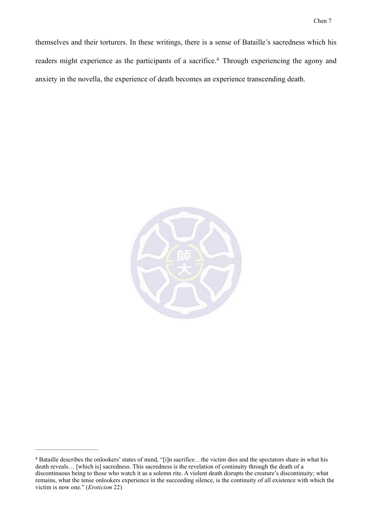themselves and their torturers. In these writings, there is a sense of Bataille's sacredness which his readers might experience as the participants of a sacrifice.<sup>4</sup> Through experiencing the agony and anxiety in the novella, the experience of death becomes an experience transcending death.



Bataille describes the onlookers' states of mind, "[i]n sacrifice…the victim dies and the spectators share in what his 4 death reveals… [which is] sacredness. This sacredness is the revelation of continuity through the death of a discontinuous being to those who watch it as a solemn rite. A violent death disrupts the creature's discontinuity; what remains, what the tense onlookers experience in the succeeding silence, is the continuity of all existence with which the victim is now one." (*Eroticism* 22)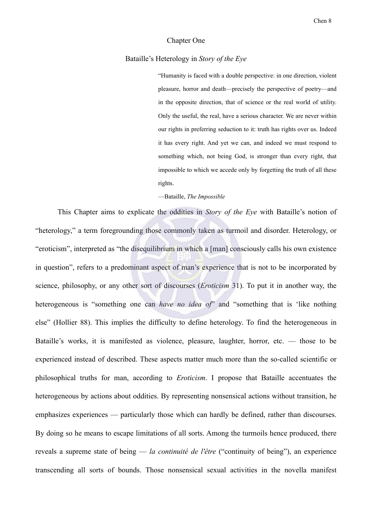#### Chapter One

## Bataille's Heterology in *Story of the Eye*

"Humanity is faced with a double perspective: in one direction, violent pleasure, horror and death—precisely the perspective of poetry—and in the opposite direction, that of science or the real world of utility. Only the useful, the real, have a serious character. We are never within our rights in preferring seduction to it: truth has rights over us. Indeed it has every right. And yet we can, and indeed we must respond to something which, not being God, is stronger than every right, that impossible to which we accede only by forgetting the truth of all these rights.

#### —Bataille, *The Impossible*

This Chapter aims to explicate the oddities in *Story of the Eye* with Bataille's notion of "heterology," a term foregrounding those commonly taken as turmoil and disorder. Heterology, or "eroticism", interpreted as "the disequilibrium in which a [man] consciously calls his own existence in question", refers to a predominant aspect of man's experience that is not to be incorporated by science, philosophy, or any other sort of discourses (*Eroticism* 31). To put it in another way, the heterogeneous is "something one can *have no idea of*" and "something that is 'like nothing else" (Hollier 88). This implies the difficulty to define heterology. To find the heterogeneous in Bataille's works, it is manifested as violence, pleasure, laughter, horror, etc. — those to be experienced instead of described. These aspects matter much more than the so-called scientific or philosophical truths for man, according to *Eroticism*. I propose that Bataille accentuates the heterogeneous by actions about oddities. By representing nonsensical actions without transition, he emphasizes experiences — particularly those which can hardly be defined, rather than discourses. By doing so he means to escape limitations of all sorts. Among the turmoils hence produced, there reveals a supreme state of being — *la continuité de l'être* ("continuity of being"), an experience transcending all sorts of bounds. Those nonsensical sexual activities in the novella manifest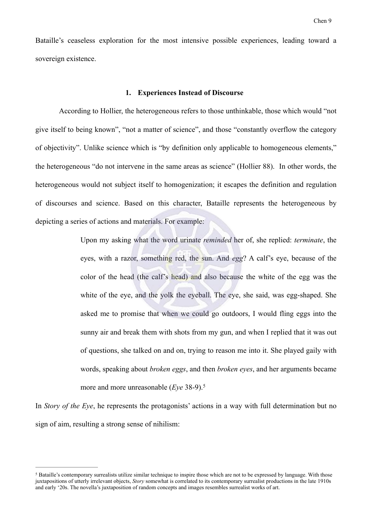Bataille's ceaseless exploration for the most intensive possible experiences, leading toward a sovereign existence.

# **1. Experiences Instead of Discourse**

 According to Hollier, the heterogeneous refers to those unthinkable, those which would "not give itself to being known", "not a matter of science", and those "constantly overflow the category of objectivity". Unlike science which is "by definition only applicable to homogeneous elements," the heterogeneous "do not intervene in the same areas as science" (Hollier 88). In other words, the heterogeneous would not subject itself to homogenization; it escapes the definition and regulation of discourses and science. Based on this character, Bataille represents the heterogeneous by depicting a series of actions and materials. For example:

> Upon my asking what the word urinate *reminded* her of, she replied: *terminate*, the eyes, with a razor, something red, the sun. And *egg*? A calf's eye, because of the color of the head (the calf's head) and also because the white of the egg was the white of the eye, and the yolk the eyeball. The eye, she said, was egg-shaped. She asked me to promise that when we could go outdoors, I would fling eggs into the sunny air and break them with shots from my gun, and when I replied that it was out of questions, she talked on and on, trying to reason me into it. She played gaily with words, speaking about *broken eggs*, and then *broken eyes*, and her arguments became more and more unreasonable (*Eye* 38-9).5

In *Story of the Eye*, he represents the protagonists' actions in a way with full determination but no sign of aim, resulting a strong sense of nihilism:

<sup>&</sup>lt;sup>5</sup> Bataille's contemporary surrealists utilize similar technique to inspire those which are not to be expressed by language. With those juxtapositions of utterly irrelevant objects, *Story* somewhat is correlated to its contemporary surrealist productions in the late 1910s and early '20s. The novella's juxtaposition of random concepts and images resembles surrealist works of art.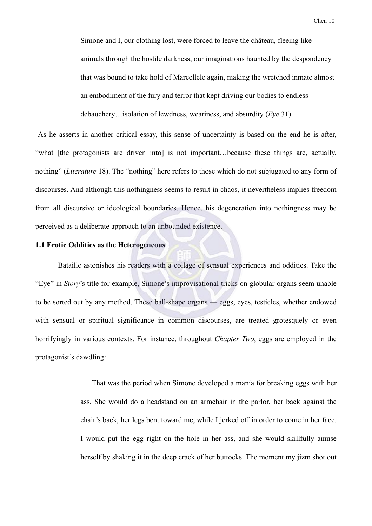Simone and I, our clothing lost, were forced to leave the château, fleeing like animals through the hostile darkness, our imaginations haunted by the despondency that was bound to take hold of Marcellele again, making the wretched inmate almost an embodiment of the fury and terror that kept driving our bodies to endless debauchery…isolation of lewdness, weariness, and absurdity (*Eye* 31).

 As he asserts in another critical essay, this sense of uncertainty is based on the end he is after, "what [the protagonists are driven into] is not important…because these things are, actually, nothing" (*Literature* 18). The "nothing" here refers to those which do not subjugated to any form of discourses. And although this nothingness seems to result in chaos, it nevertheless implies freedom from all discursive or ideological boundaries. Hence, his degeneration into nothingness may be perceived as a deliberate approach to an unbounded existence.

# **1.1 Erotic Oddities as the Heterogeneous**

 Bataille astonishes his readers with a collage of sensual experiences and oddities. Take the "Eye" in *Story*'s title for example, Simone's improvisational tricks on globular organs seem unable to be sorted out by any method. These ball-shape organs — eggs, eyes, testicles, whether endowed with sensual or spiritual significance in common discourses, are treated grotesquely or even horrifyingly in various contexts. For instance, throughout *Chapter Two*, eggs are employed in the protagonist's dawdling:

> That was the period when Simone developed a mania for breaking eggs with her ass. She would do a headstand on an armchair in the parlor, her back against the chair's back, her legs bent toward me, while I jerked off in order to come in her face. I would put the egg right on the hole in her ass, and she would skillfully amuse herself by shaking it in the deep crack of her buttocks. The moment my jizm shot out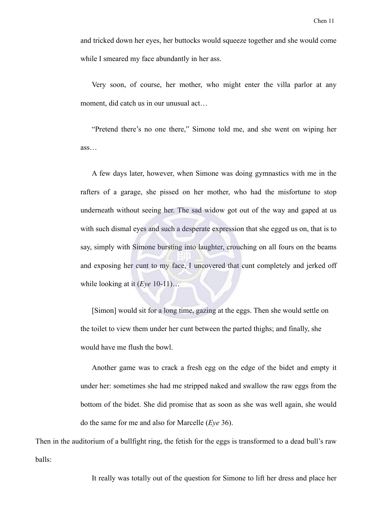and tricked down her eyes, her buttocks would squeeze together and she would come while I smeared my face abundantly in her ass.

Very soon, of course, her mother, who might enter the villa parlor at any moment, did catch us in our unusual act...

"Pretend there's no one there," Simone told me, and she went on wiping her ass…

A few days later, however, when Simone was doing gymnastics with me in the rafters of a garage, she pissed on her mother, who had the misfortune to stop underneath without seeing her. The sad widow got out of the way and gaped at us with such dismal eyes and such a desperate expression that she egged us on, that is to say, simply with Simone bursting into laughter, crouching on all fours on the beams and exposing her cunt to my face, I uncovered that cunt completely and jerked off while looking at it (*Eye* 10-11)…

[Simon] would sit for a long time, gazing at the eggs. Then she would settle on the toilet to view them under her cunt between the parted thighs; and finally, she would have me flush the bowl.

Another game was to crack a fresh egg on the edge of the bidet and empty it under her: sometimes she had me stripped naked and swallow the raw eggs from the bottom of the bidet. She did promise that as soon as she was well again, she would do the same for me and also for Marcelle (*Eye* 36).

Then in the auditorium of a bullfight ring, the fetish for the eggs is transformed to a dead bull's raw balls:

It really was totally out of the question for Simone to lift her dress and place her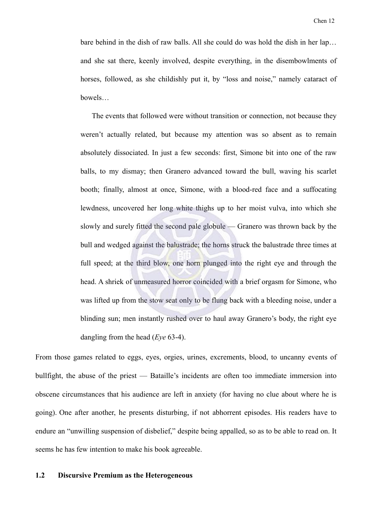bare behind in the dish of raw balls. All she could do was hold the dish in her lap… and she sat there, keenly involved, despite everything, in the disembowlments of horses, followed, as she childishly put it, by "loss and noise," namely cataract of bowels…

The events that followed were without transition or connection, not because they weren't actually related, but because my attention was so absent as to remain absolutely dissociated. In just a few seconds: first, Simone bit into one of the raw balls, to my dismay; then Granero advanced toward the bull, waving his scarlet booth; finally, almost at once, Simone, with a blood-red face and a suffocating lewdness, uncovered her long white thighs up to her moist vulva, into which she slowly and surely fitted the second pale globule — Granero was thrown back by the bull and wedged against the balustrade; the horns struck the balustrade three times at full speed; at the third blow, one horn plunged into the right eye and through the head. A shriek of unmeasured horror coincided with a brief orgasm for Simone, who was lifted up from the stow seat only to be flung back with a bleeding noise, under a blinding sun; men instantly rushed over to haul away Granero's body, the right eye dangling from the head (*Eye* 63-4).

From those games related to eggs, eyes, orgies, urines, excrements, blood, to uncanny events of bullfight, the abuse of the priest — Bataille's incidents are often too immediate immersion into obscene circumstances that his audience are left in anxiety (for having no clue about where he is going). One after another, he presents disturbing, if not abhorrent episodes. His readers have to endure an "unwilling suspension of disbelief," despite being appalled, so as to be able to read on. It seems he has few intention to make his book agreeable.

### **1.2 Discursive Premium as the Heterogeneous**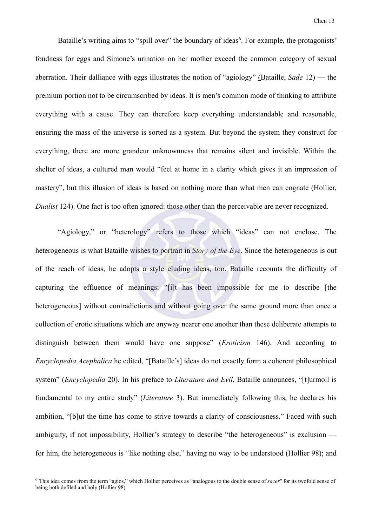Bataille's writing aims to "spill over" the boundary of ideas<sup>6</sup>. For example, the protagonists' fondness for eggs and Simone's urination on her mother exceed the common category of sexual aberration. Their dalliance with eggs illustrates the notion of "agiology" (Bataille, *Sade* 12) — the premium portion not to be circumscribed by ideas. It is men's common mode of thinking to attribute everything with a cause. They can therefore keep everything understandable and reasonable, ensuring the mass of the universe is sorted as a system. But beyond the system they construct for everything, there are more grandeur unknownness that remains silent and invisible. Within the shelter of ideas, a cultured man would "feel at home in a clarity which gives it an impression of mastery", but this illusion of ideas is based on nothing more than what men can cognate (Hollier, *Dualist* 124). One fact is too often ignored: those other than the perceivable are never recognized.

"Agiology," or "heterology" refers to those which "ideas" can not enclose. The heterogeneous is what Bataille wishes to portrait in *Story of the Eye*. Since the heterogeneous is out of the reach of ideas, he adopts a style eluding ideas, too. Bataille recounts the difficulty of capturing the effluence of meanings: "[i]t has been impossible for me to describe [the heterogeneous] without contradictions and without going over the same ground more than once a collection of erotic situations which are anyway nearer one another than these deliberate attempts to distinguish between them would have one suppose" (*Eroticism* 146). And according to *Encyclopedia Acephalica* he edited, "[Bataille's] ideas do not exactly form a coherent philosophical system" (*Encyclopedia* 20). In his preface to *Literature and Evil*, Bataille announces, "[t]urmoil is fundamental to my entire study" (*Literature* 3). But immediately following this, he declares his ambition, "[b]ut the time has come to strive towards a clarity of consciousness." Faced with such ambiguity, if not impossibility, Hollier's strategy to describe "the heterogeneous" is exclusion for him, the heterogeneous is "like nothing else," having no way to be understood (Hollier 98); and

<sup>&</sup>lt;sup>6</sup> This idea comes from the term "agios," which Hollier perceives as "analogous to the double sense of *sacer*" for its twofold sense of being both defiled and holy (Hollier 98).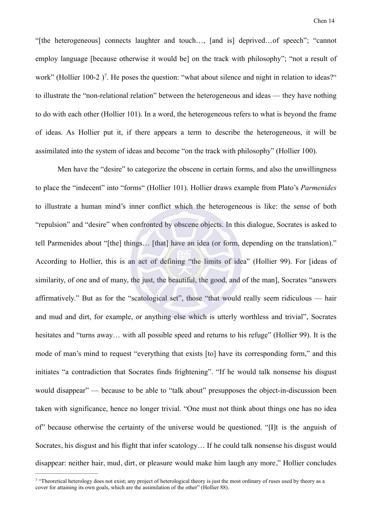"[the heterogeneous] connects laughter and touch…, [and is] deprived…of speech"; "cannot employ language [because otherwise it would be] on the track with philosophy"; "not a result of work" (Hollier 100-2)<sup>7</sup>. He poses the question: "what about silence and night in relation to ideas?" to illustrate the "non-relational relation" between the heterogeneous and ideas — they have nothing to do with each other (Hollier 101). In a word, the heterogeneous refers to what is beyond the frame of ideas. As Hollier put it, if there appears a term to describe the heterogeneous, it will be assimilated into the system of ideas and become "on the track with philosophy" (Hollier 100).

Men have the "desire" to categorize the obscene in certain forms, and also the unwillingness to place the "indecent" into "forms" (Hollier 101). Hollier draws example from Plato's *Parmenides* to illustrate a human mind's inner conflict which the heterogeneous is like: the sense of both "repulsion" and "desire" when confronted by obscene objects. In this dialogue, Socrates is asked to tell Parmenides about "[the] things… [that] have an idea (or form, depending on the translation)." According to Hollier, this is an act of defining "the limits of idea" (Hollier 99). For [ideas of similarity, of one and of many, the just, the beautiful, the good, and of the man], Socrates "answers affirmatively." But as for the "scatological set", those "that would really seem ridiculous — hair and mud and dirt, for example, or anything else which is utterly worthless and trivial", Socrates hesitates and "turns away… with all possible speed and returns to his refuge" (Hollier 99). It is the mode of man's mind to request "everything that exists [to] have its corresponding form," and this initiates "a contradiction that Socrates finds frightening". "If he would talk nonsense his disgust would disappear" — because to be able to "talk about" presupposes the object-in-discussion been taken with significance, hence no longer trivial. "One must not think about things one has no idea of" because otherwise the certainty of the universe would be questioned. "[I]t is the anguish of Socrates, his disgust and his flight that infer scatology… If he could talk nonsense his disgust would disappear: neither hair, mud, dirt, or pleasure would make him laugh any more," Hollier concludes

<sup>&</sup>lt;sup>7</sup> "Theoretical heterology does not exist; any project of heterological theory is just the most ordinary of ruses used by theory as a cover for attaining its own goals, which are the assimilation of the other" (Hollier 88).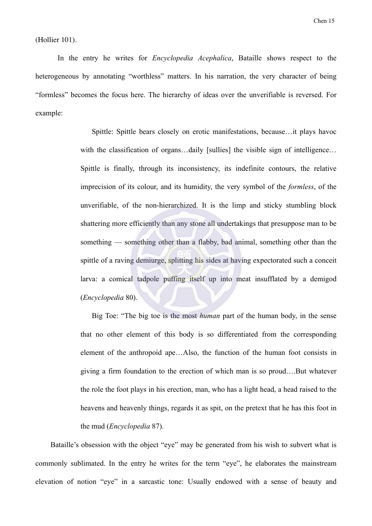(Hollier 101).

In the entry he writes for *Encyclopedia Acephalica*, Bataille shows respect to the heterogeneous by annotating "worthless" matters. In his narration, the very character of being "formless" becomes the focus here. The hierarchy of ideas over the unverifiable is reversed. For example:

> Spittle: Spittle bears closely on erotic manifestations, because…it plays havoc with the classification of organs...daily [sullies] the visible sign of intelligence... Spittle is finally, through its inconsistency, its indefinite contours, the relative imprecision of its colour, and its humidity, the very symbol of the *formless*, of the unverifiable, of the non-hierarchized. It is the limp and sticky stumbling block shattering more efficiently than any stone all undertakings that presuppose man to be something — something other than a flabby, bad animal, something other than the spittle of a raving demiurge, splitting his sides at having expectorated such a conceit larva: a comical tadpole puffing itself up into meat insufflated by a demigod (*Encyclopedia* 80).

> Big Toe: "The big toe is the most *human* part of the human body, in the sense that no other element of this body is so differentiated from the corresponding element of the anthropoid ape…Also, the function of the human foot consists in giving a firm foundation to the erection of which man is so proud….But whatever the role the foot plays in his erection, man, who has a light head, a head raised to the heavens and heavenly things, regards it as spit, on the pretext that he has this foot in the mud (*Encyclopedia* 87).

Bataille's obsession with the object "eye" may be generated from his wish to subvert what is commonly sublimated. In the entry he writes for the term "eye", he elaborates the mainstream elevation of notion "eye" in a sarcastic tone: Usually endowed with a sense of beauty and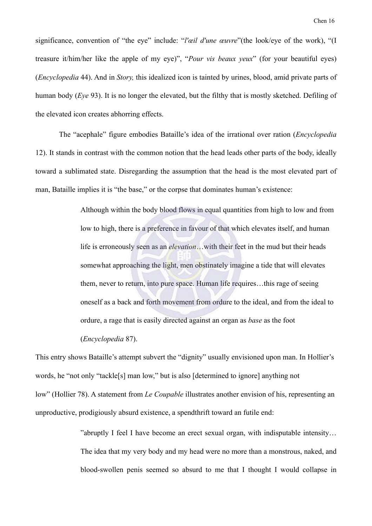significance, convention of "the eye" include: "*l'œil d'une œuvre*"(the look/eye of the work), "(I treasure it/him/her like the apple of my eye)", "*Pour vis beaux yeux*" (for your beautiful eyes) (*Encyclopedia* 44). And in *Story,* this idealized icon is tainted by urines, blood, amid private parts of human body (*Eye* 93). It is no longer the elevated, but the filthy that is mostly sketched. Defiling of the elevated icon creates abhorring effects.

 The "acephale" figure embodies Bataille's idea of the irrational over ration (*Encyclopedia* 12). It stands in contrast with the common notion that the head leads other parts of the body, ideally toward a sublimated state. Disregarding the assumption that the head is the most elevated part of man, Bataille implies it is "the base," or the corpse that dominates human's existence:

> Although within the body blood flows in equal quantities from high to low and from low to high, there is a preference in favour of that which elevates itself, and human life is erroneously seen as an *elevation*…with their feet in the mud but their heads somewhat approaching the light, men obstinately imagine a tide that will elevates them, never to return, into pure space. Human life requires…this rage of seeing oneself as a back and forth movement from ordure to the ideal, and from the ideal to ordure, a rage that is easily directed against an organ as *base* as the foot (*Encyclopedia* 87).

This entry shows Bataille's attempt subvert the "dignity" usually envisioned upon man. In Hollier's words, he "not only "tackle[s] man low," but is also [determined to ignore] anything not low" (Hollier 78). A statement from *Le Coupable* illustrates another envision of his, representing an unproductive, prodigiously absurd existence, a spendthrift toward an futile end:

> "abruptly I feel I have become an erect sexual organ, with indisputable intensity… The idea that my very body and my head were no more than a monstrous, naked, and blood-swollen penis seemed so absurd to me that I thought I would collapse in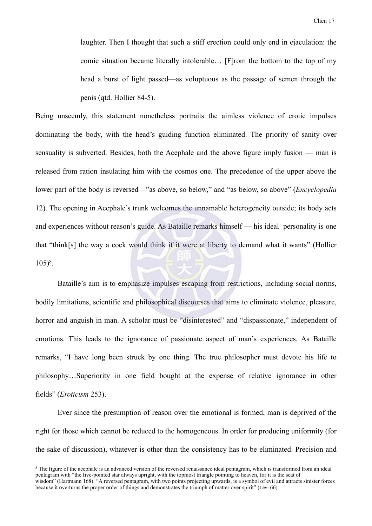laughter. Then I thought that such a stiff erection could only end in ejaculation: the comic situation became literally intolerable… [F]rom the bottom to the top of my head a burst of light passed—as voluptuous as the passage of semen through the penis (qtd. Hollier 84-5).

Being unseemly, this statement nonetheless portraits the aimless violence of erotic impulses dominating the body, with the head's guiding function eliminated. The priority of sanity over sensuality is subverted. Besides, both the Acephale and the above figure imply fusion — man is released from ration insulating him with the cosmos one. The precedence of the upper above the lower part of the body is reversed—"as above, so below," and "as below, so above" (*Encyclopedia* 12). The opening in Acephale's trunk welcomes the unnamable heterogeneity outside; its body acts and experiences without reason's guide. As Bataille remarks himself — his ideal personality is one that "think[s] the way a cock would think if it were at liberty to demand what it wants" (Hollier  $105)^8$ .

Bataille's aim is to emphasize impulses escaping from restrictions, including social norms, bodily limitations, scientific and philosophical discourses that aims to eliminate violence, pleasure, horror and anguish in man. A scholar must be "disinterested" and "dispassionate," independent of emotions. This leads to the ignorance of passionate aspect of man's experiences. As Bataille remarks, "I have long been struck by one thing. The true philosopher must devote his life to philosophy…Superiority in one field bought at the expense of relative ignorance in other fields" (*Eroticism* 253).

Ever since the presumption of reason over the emotional is formed, man is deprived of the right for those which cannot be reduced to the homogeneous. In order for producing uniformity (for the sake of discussion), whatever is other than the consistency has to be eliminated. Precision and

 $8$  The figure of the acephale is an advanced version of the reversed renaissance ideal pentagram, which is transformed from an ideal pentagram with "the five-pointed star always upright, with the topmost triangle pointing to heaven, for it is the seat of wisdom" (Hartmann 168). "A reversed pentagram, with two points projecting upwards, is a symbol of evil and attracts sinister forces because it overturns the proper order of things and demonstrates the triumph of matter over spirit" (Lévi 66).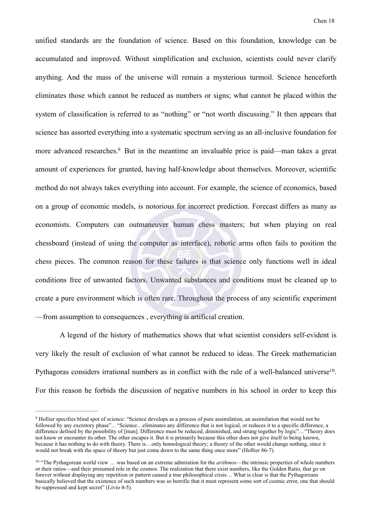unified standards are the foundation of science. Based on this foundation, knowledge can be accumulated and improved. Without simplification and exclusion, scientists could never clarify anything. And the mass of the universe will remain a mysterious turmoil. Science henceforth eliminates those which cannot be reduced as numbers or signs; what cannot be placed within the system of classification is referred to as "nothing" or "not worth discussing." It then appears that science has assorted everything into a systematic spectrum serving as an all-inclusive foundation for more advanced researches.<sup>9</sup> But in the meantime an invaluable price is paid—man takes a great amount of experiences for granted, having half-knowledge about themselves. Moreover, scientific method do not always takes everything into account. For example, the science of economics, based on a group of economic models, is notorious for incorrect prediction. Forecast differs as many as economists. Computers can outmaneuver human chess masters; but when playing on real chessboard (instead of using the computer as interface), robotic arms often fails to position the chess pieces. The common reason for these failures is that science only functions well in ideal conditions free of unwanted factors. Unwanted substances and conditions must be cleaned up to create a pure environment which is often rare. Throughout the process of any scientific experiment —from assumption to consequences , everything is artificial creation.

 A legend of the history of mathematics shows that what scientist considers self-evident is very likely the result of exclusion of what cannot be reduced to ideas. The Greek mathematician Pythagoras considers irrational numbers as in conflict with the rule of a well-balanced universe<sup>10</sup>. For this reason he forbids the discussion of negative numbers in his school in order to keep this

<sup>&</sup>lt;sup>9</sup> Hollier specifies blind spot of science: "Science develops as a process of pure assimilation, an assimilation that would not be followed by any excretory phase"…"Science…eliminates any difference that is not logical, or reduces it to a specific difference, a difference defined by the possibility of [man]. Difference must be reduced, diminished, and strung together by logic"…"Theory does not know or encounter its other. The other escapes it. But it is primarily because this other does not give itself to being known, because it has nothing to do with theory. There is…only homological theory; a theory of the other would change nothing, since it would not break with the space of theory but just come down to the same thing once more" (Hollier 86-7).

<sup>&</sup>lt;sup>10</sup> "The Pythagorean world view ... was based on an extreme admiration for the *arithmos*—the intrinsic properties of whole numbers or their ratios—and their presumed role in the cosmos. The realization that there exist numbers, like the Golden Ratio, that go on forever without displaying any repetition or pattern caused a true philosophical crisis… What is clear is that the Pythagoreans basically believed that the existence of such numbers was so horrific that it must represent some sort of cosmic error, one that should be suppressed and kept secret" (Livio 4-5).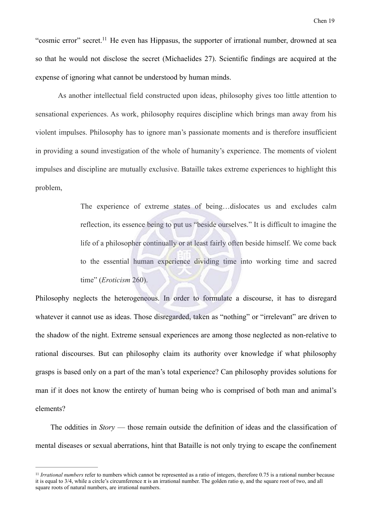"cosmic error" secret.<sup>11</sup> He even has Hippasus, the supporter of irrational number, drowned at sea so that he would not disclose the secret (Michaelides 27). Scientific findings are acquired at the expense of ignoring what cannot be understood by human minds.

 As another intellectual field constructed upon ideas, philosophy gives too little attention to sensational experiences. As work, philosophy requires discipline which brings man away from his violent impulses. Philosophy has to ignore man's passionate moments and is therefore insufficient in providing a sound investigation of the whole of humanity's experience. The moments of violent impulses and discipline are mutually exclusive. Bataille takes extreme experiences to highlight this problem,

> The experience of extreme states of being…dislocates us and excludes calm reflection, its essence being to put us "beside ourselves." It is difficult to imagine the life of a philosopher continually or at least fairly often beside himself. We come back to the essential human experience dividing time into working time and sacred time" (*Eroticism* 260).

Philosophy neglects the heterogeneous. In order to formulate a discourse, it has to disregard whatever it cannot use as ideas. Those disregarded, taken as "nothing" or "irrelevant" are driven to the shadow of the night. Extreme sensual experiences are among those neglected as non-relative to rational discourses. But can philosophy claim its authority over knowledge if what philosophy grasps is based only on a part of the man's total experience? Can philosophy provides solutions for man if it does not know the entirety of human being who is comprised of both man and animal's elements?

 The oddities in *Story* — those remain outside the definition of ideas and the classification of mental diseases or sexual aberrations, hint that Bataille is not only trying to escape the confinement

<sup>&</sup>lt;sup>11</sup> Irrational numbers refer to numbers which cannot be represented as a ratio of integers, therefore 0.75 is a rational number because it is equal to 3/4, while a circle's circumference π is an irrational number. The golden ratio φ, and the square root of two, and all square roots of natural numbers, are irrational numbers.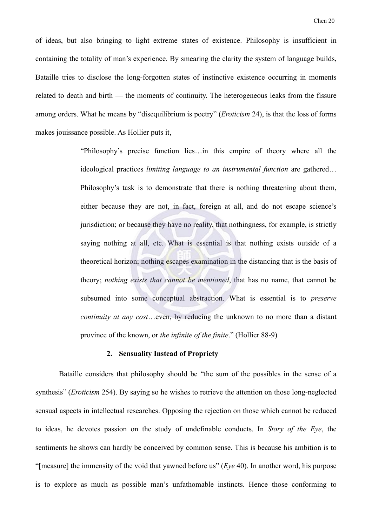of ideas, but also bringing to light extreme states of existence. Philosophy is insufficient in containing the totality of man's experience. By smearing the clarity the system of language builds, Bataille tries to disclose the long-forgotten states of instinctive existence occurring in moments related to death and birth — the moments of continuity. The heterogeneous leaks from the fissure among orders. What he means by "disequilibrium is poetry" (*Eroticism* 24), is that the loss of forms makes jouissance possible. As Hollier puts it,

> "Philosophy's precise function lies…in this empire of theory where all the ideological practices *limiting language to an instrumental function* are gathered… Philosophy's task is to demonstrate that there is nothing threatening about them, either because they are not, in fact, foreign at all, and do not escape science's jurisdiction; or because they have no reality, that nothingness, for example, is strictly saying nothing at all, etc. What is essential is that nothing exists outside of a theoretical horizon; nothing escapes examination in the distancing that is the basis of theory; *nothing exists that cannot be mentioned*, that has no name, that cannot be subsumed into some conceptual abstraction. What is essential is to *preserve continuity at any cost*…even, by reducing the unknown to no more than a distant province of the known, or *the infinite of the finite*." (Hollier 88-9)

# **2. Sensuality Instead of Propriety**

 Bataille considers that philosophy should be "the sum of the possibles in the sense of a synthesis" (*Eroticism* 254). By saying so he wishes to retrieve the attention on those long-neglected sensual aspects in intellectual researches. Opposing the rejection on those which cannot be reduced to ideas, he devotes passion on the study of undefinable conducts. In *Story of the Eye*, the sentiments he shows can hardly be conceived by common sense. This is because his ambition is to "[measure] the immensity of the void that yawned before us" (*Eye* 40). In another word, his purpose is to explore as much as possible man's unfathomable instincts. Hence those conforming to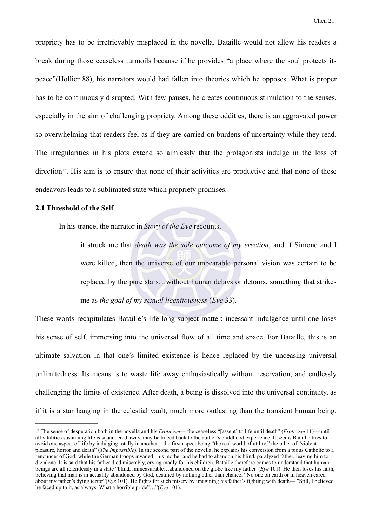propriety has to be irretrievably misplaced in the novella. Bataille would not allow his readers a break during those ceaseless turmoils because if he provides "a place where the soul protects its peace"(Hollier 88), his narrators would had fallen into theories which he opposes. What is proper has to be continuously disrupted. With few pauses, he creates continuous stimulation to the senses, especially in the aim of challenging propriety. Among these oddities, there is an aggravated power so overwhelming that readers feel as if they are carried on burdens of uncertainty while they read. The irregularities in his plots extend so aimlessly that the protagonists indulge in the loss of direction<sup>12</sup>. His aim is to ensure that none of their activities are productive and that none of these endeavors leads to a sublimated state which propriety promises.

### **2.1 Threshold of the Self**

In his trance, the narrator in *Story of the Eye* recounts,

it struck me that *death was the sole outcome of my erection*, and if Simone and I were killed, then the universe of our unbearable personal vision was certain to be replaced by the pure stars…without human delays or detours, something that strikes me as *the goal of my sexual licentiousness* (*Eye* 33).

These words recapitulates Bataille's life-long subject matter: incessant indulgence until one loses his sense of self, immersing into the universal flow of all time and space. For Bataille, this is an ultimate salvation in that one's limited existence is hence replaced by the unceasing universal unlimitedness. Its means is to waste life away enthusiastically without reservation, and endlessly challenging the limits of existence. After death, a being is dissolved into the universal continuity, as if it is a star hanging in the celestial vault, much more outlasting than the transient human being.

<sup>&</sup>lt;sup>12</sup> The sense of desperation both in the novella and his *Eroticism*— the ceaseless "[assent] to life until death" (*Eroticism* 11)—until all vitalities sustaining life is squandered away, may be traced back to the author's childhood experience. It seems Bataille tries to avoid one aspect of life by indulging totally in another—the first aspect being "the real world of utility," the other of "violent pleasure, horror and death" (*The Impossible*). In the second part of the novella, he explains his conversion from a pious Catholic to a renouncer of God: while the German troops invaded , his mother and he had to abandon his blind, paralyzed father, leaving him to die alone. It is said that his father died miserably, crying madly for his children. Bataille therefore comes to understand that human beings are all relentlessly in a state "blind, immeasurable…abandoned on the globe like my father"(*Eye* 101). He then loses his faith, believing that man is in actuality abandoned by God, destined by nothing other than chance: "No one on earth or in heaven cared about my father's dying terror"(*Eye* 101). He fights for such misery by imagining his father's fighting with death— "Still, I believed he faced up to it, as always. What a horrible pride"…"(*Eye* 101).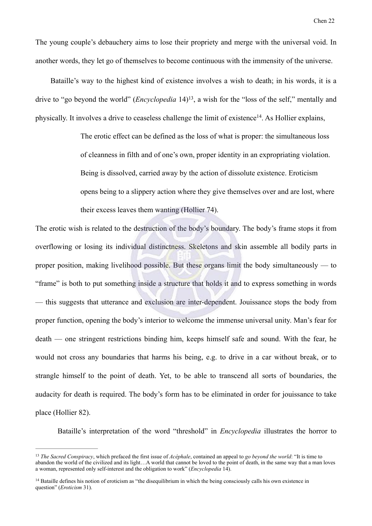The young couple's debauchery aims to lose their propriety and merge with the universal void. In another words, they let go of themselves to become continuous with the immensity of the universe.

 Bataille's way to the highest kind of existence involves a wish to death; in his words, it is a drive to "go beyond the world" *(Encyclopedia* 14)<sup>13</sup>, a wish for the "loss of the self," mentally and physically. It involves a drive to ceaseless challenge the limit of existence<sup> $14$ </sup>. As Hollier explains,

> The erotic effect can be defined as the loss of what is proper: the simultaneous loss of cleanness in filth and of one's own, proper identity in an expropriating violation. Being is dissolved, carried away by the action of dissolute existence. Eroticism opens being to a slippery action where they give themselves over and are lost, where their excess leaves them wanting (Hollier 74).

The erotic wish is related to the destruction of the body's boundary. The body's frame stops it from overflowing or losing its individual distinctness. Skeletons and skin assemble all bodily parts in proper position, making livelihood possible. But these organs limit the body simultaneously — to "frame" is both to put something inside a structure that holds it and to express something in words — this suggests that utterance and exclusion are inter-dependent. Jouissance stops the body from proper function, opening the body's interior to welcome the immense universal unity. Man's fear for death — one stringent restrictions binding him, keeps himself safe and sound. With the fear, he would not cross any boundaries that harms his being, e.g. to drive in a car without break, or to strangle himself to the point of death. Yet, to be able to transcend all sorts of boundaries, the audacity for death is required. The body's form has to be eliminated in order for jouissance to take place (Hollier 82).

Bataille's interpretation of the word "threshold" in *Encyclopedia* illustrates the horror to

*The Sacred Conspiracy*, which prefaced the first issue of *Acéphale*, contained an appeal to *go beyond the world*: "It is time to 13 abandon the world of the civilized and its light…A world that cannot be loved to the point of death, in the same way that a man loves a woman, represented only self-interest and the obligation to work" (*Encyclopedia* 14).

 $<sup>14</sup>$  Bataille defines his notion of eroticism as "the disequilibrium in which the being consciously calls his own existence in</sup> question" (*Eroticism* 31).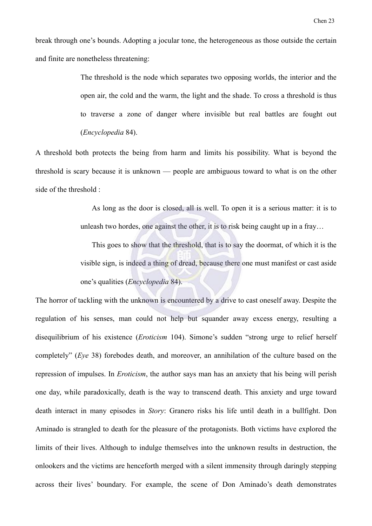break through one's bounds. Adopting a jocular tone, the heterogeneous as those outside the certain and finite are nonetheless threatening:

> The threshold is the node which separates two opposing worlds, the interior and the open air, the cold and the warm, the light and the shade. To cross a threshold is thus to traverse a zone of danger where invisible but real battles are fought out (*Encyclopedia* 84).

A threshold both protects the being from harm and limits his possibility. What is beyond the threshold is scary because it is unknown — people are ambiguous toward to what is on the other side of the threshold :

> As long as the door is closed, all is well. To open it is a serious matter: it is to unleash two hordes, one against the other, it is to risk being caught up in a fray…

> This goes to show that the threshold, that is to say the doormat, of which it is the visible sign, is indeed a thing of dread, because there one must manifest or cast aside one's qualities (*Encyclopedia* 84).

The horror of tackling with the unknown is encountered by a drive to cast oneself away. Despite the regulation of his senses, man could not help but squander away excess energy, resulting a disequilibrium of his existence (*Eroticism* 104). Simone's sudden "strong urge to relief herself completely" (*Eye* 38) forebodes death, and moreover, an annihilation of the culture based on the repression of impulses. In *Eroticism*, the author says man has an anxiety that his being will perish one day, while paradoxically, death is the way to transcend death. This anxiety and urge toward death interact in many episodes in *Story*: Granero risks his life until death in a bullfight. Don Aminado is strangled to death for the pleasure of the protagonists. Both victims have explored the limits of their lives. Although to indulge themselves into the unknown results in destruction, the onlookers and the victims are henceforth merged with a silent immensity through daringly stepping across their lives' boundary. For example, the scene of Don Aminado's death demonstrates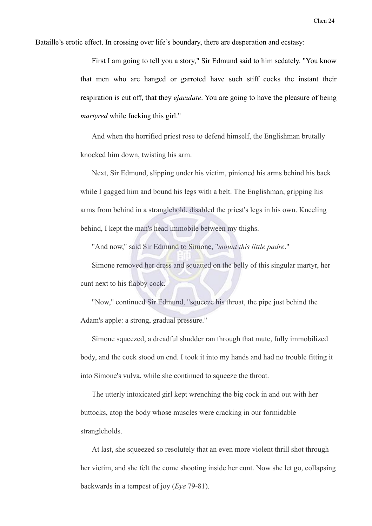Bataille's erotic effect. In crossing over life's boundary, there are desperation and ecstasy:

First I am going to tell you a story," Sir Edmund said to him sedately. "You know that men who are hanged or garroted have such stiff cocks the instant their respiration is cut off, that they *ejaculate*. You are going to have the pleasure of being *martyred* while fucking this girl."

And when the horrified priest rose to defend himself, the Englishman brutally knocked him down, twisting his arm.

Next, Sir Edmund, slipping under his victim, pinioned his arms behind his back while I gagged him and bound his legs with a belt. The Englishman, gripping his arms from behind in a stranglehold, disabled the priest's legs in his own. Kneeling behind, I kept the man's head immobile between my thighs.

"And now," said Sir Edmund to Simone, "*mount this little padre*."

Simone removed her dress and squatted on the belly of this singular martyr, her cunt next to his flabby cock.

"Now," continued Sir Edmund, "squeeze his throat, the pipe just behind the Adam's apple: a strong, gradual pressure."

Simone squeezed, a dreadful shudder ran through that mute, fully immobilized body, and the cock stood on end. I took it into my hands and had no trouble fitting it into Simone's vulva, while she continued to squeeze the throat.

The utterly intoxicated girl kept wrenching the big cock in and out with her buttocks, atop the body whose muscles were cracking in our formidable strangleholds.

At last, she squeezed so resolutely that an even more violent thrill shot through her victim, and she felt the come shooting inside her cunt. Now she let go, collapsing backwards in a tempest of joy (*Eye* 79-81).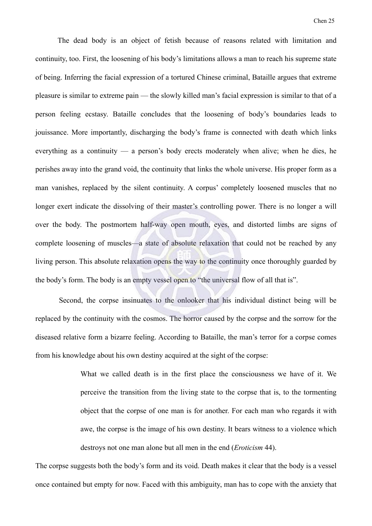The dead body is an object of fetish because of reasons related with limitation and continuity, too. First, the loosening of his body's limitations allows a man to reach his supreme state of being. Inferring the facial expression of a tortured Chinese criminal, Bataille argues that extreme pleasure is similar to extreme pain — the slowly killed man's facial expression is similar to that of a person feeling ecstasy. Bataille concludes that the loosening of body's boundaries leads to jouissance. More importantly, discharging the body's frame is connected with death which links everything as a continuity — a person's body erects moderately when alive; when he dies, he perishes away into the grand void, the continuity that links the whole universe. His proper form as a man vanishes, replaced by the silent continuity. A corpus' completely loosened muscles that no longer exert indicate the dissolving of their master's controlling power. There is no longer a will over the body. The postmortem half-way open mouth, eyes, and distorted limbs are signs of complete loosening of muscles—a state of absolute relaxation that could not be reached by any living person. This absolute relaxation opens the way to the continuity once thoroughly guarded by the body's form. The body is an empty vessel open to "the universal flow of all that is".

 Second, the corpse insinuates to the onlooker that his individual distinct being will be replaced by the continuity with the cosmos. The horror caused by the corpse and the sorrow for the diseased relative form a bizarre feeling. According to Bataille, the man's terror for a corpse comes from his knowledge about his own destiny acquired at the sight of the corpse:

> What we called death is in the first place the consciousness we have of it. We perceive the transition from the living state to the corpse that is, to the tormenting object that the corpse of one man is for another. For each man who regards it with awe, the corpse is the image of his own destiny. It bears witness to a violence which destroys not one man alone but all men in the end (*Eroticism* 44).

The corpse suggests both the body's form and its void. Death makes it clear that the body is a vessel once contained but empty for now. Faced with this ambiguity, man has to cope with the anxiety that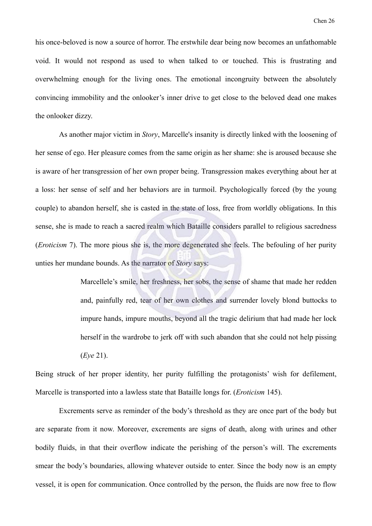his once-beloved is now a source of horror. The erstwhile dear being now becomes an unfathomable void. It would not respond as used to when talked to or touched. This is frustrating and overwhelming enough for the living ones. The emotional incongruity between the absolutely convincing immobility and the onlooker's inner drive to get close to the beloved dead one makes the onlooker dizzy.

 As another major victim in *Story*, Marcelle's insanity is directly linked with the loosening of her sense of ego. Her pleasure comes from the same origin as her shame: she is aroused because she is aware of her transgression of her own proper being. Transgression makes everything about her at a loss: her sense of self and her behaviors are in turmoil. Psychologically forced (by the young couple) to abandon herself, she is casted in the state of loss, free from worldly obligations. In this sense, she is made to reach a sacred realm which Bataille considers parallel to religious sacredness (*Eroticism* 7). The more pious she is, the more degenerated she feels. The befouling of her purity unties her mundane bounds. As the narrator of *Story* says:

> Marcellele's smile, her freshness, her sobs, the sense of shame that made her redden and, painfully red, tear of her own clothes and surrender lovely blond buttocks to impure hands, impure mouths, beyond all the tragic delirium that had made her lock herself in the wardrobe to jerk off with such abandon that she could not help pissing (*Eye* 21).

Being struck of her proper identity, her purity fulfilling the protagonists' wish for defilement, Marcelle is transported into a lawless state that Bataille longs for. (*Eroticism* 145).

 Excrements serve as reminder of the body's threshold as they are once part of the body but are separate from it now. Moreover, excrements are signs of death, along with urines and other bodily fluids, in that their overflow indicate the perishing of the person's will. The excrements smear the body's boundaries, allowing whatever outside to enter. Since the body now is an empty vessel, it is open for communication. Once controlled by the person, the fluids are now free to flow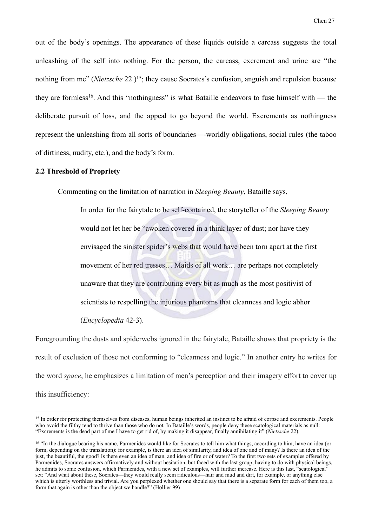out of the body's openings. The appearance of these liquids outside a carcass suggests the total unleashing of the self into nothing. For the person, the carcass, excrement and urine are "the nothing from me" (*Nietzsche* 22 )<sup>15</sup>; they cause Socrates's confusion, anguish and repulsion because they are formless<sup>16</sup>. And this "nothingness" is what Bataille endeavors to fuse himself with — the deliberate pursuit of loss, and the appeal to go beyond the world. Excrements as nothingness represent the unleashing from all sorts of boundaries—-worldly obligations, social rules (the taboo of dirtiness, nudity, etc.), and the body's form.

## **2.2 Threshold of Propriety**

Commenting on the limitation of narration in *Sleeping Beauty*, Bataille says,

In order for the fairytale to be self-contained, the storyteller of the *Sleeping Beauty* would not let her be "awoken covered in a think layer of dust; nor have they envisaged the sinister spider's webs that would have been torn apart at the first movement of her red tresses… Maids of all work… are perhaps not completely unaware that they are contributing every bit as much as the most positivist of scientists to respelling the injurious phantoms that cleanness and logic abhor (*Encyclopedia* 42-3).

Foregrounding the dusts and spiderwebs ignored in the fairytale, Bataille shows that propriety is the result of exclusion of those not conforming to "cleanness and logic." In another entry he writes for the word *space*, he emphasizes a limitation of men's perception and their imagery effort to cover up this insufficiency:

<sup>&</sup>lt;sup>15</sup> In order for protecting themselves from diseases, human beings inherited an instinct to be afraid of corpse and excrements. People who avoid the filthy tend to thrive than those who do not. In Bataille's words, people deny these scatological materials as null: "Excrements is the dead part of me I have to get rid of, by making it disappear, finally annihilating it" (*Nietzsche* 22).

 $16$  "In the dialogue bearing his name, Parmenides would like for Socrates to tell him what things, according to him, have an idea (or form, depending on the translation): for example, is there an idea of similarity, and idea of one and of many? Is there an idea of the just, the beautiful, the good? Is there even an idea of man, and idea of fire or of water? To the first two sets of examples offered by Parmenides, Socrates answers affirmatively and without hesitation, but faced with the last group, having to do with physical beings, he admits to some confusion, which Parmenides, with a new set of examples, will further increase. Here is this last, "scatological" set: "And what about these, Socrates—they would really seem ridiculous—hair and mud and dirt, for example, or anything else which is utterly worthless and trivial. Are you perplexed whether one should say that there is a separate form for each of them too, a form that again is other than the object we handle?" (Hollier 99)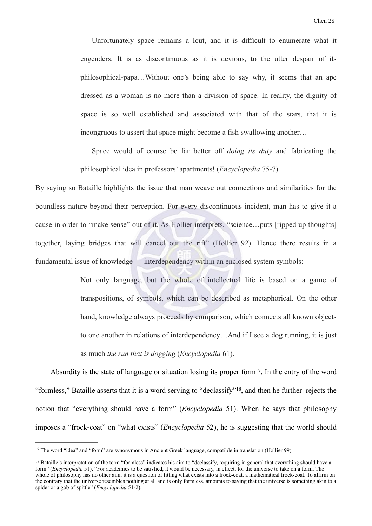Unfortunately space remains a lout, and it is difficult to enumerate what it engenders. It is as discontinuous as it is devious, to the utter despair of its philosophical-papa…Without one's being able to say why, it seems that an ape dressed as a woman is no more than a division of space. In reality, the dignity of space is so well established and associated with that of the stars, that it is incongruous to assert that space might become a fish swallowing another…

Space would of course be far better off *doing its duty* and fabricating the philosophical idea in professors' apartments! (*Encyclopedia* 75-7)

By saying so Bataille highlights the issue that man weave out connections and similarities for the boundless nature beyond their perception. For every discontinuous incident, man has to give it a cause in order to "make sense" out of it. As Hollier interprets, "science…puts [ripped up thoughts] together, laying bridges that will cancel out the rift" (Hollier 92). Hence there results in a fundamental issue of knowledge — interdependency within an enclosed system symbols:

> Not only language, but the whole of intellectual life is based on a game of transpositions, of symbols, which can be described as metaphorical. On the other hand, knowledge always proceeds by comparison, which connects all known objects to one another in relations of interdependency…And if I see a dog running, it is just as much *the run that is dogging* (*Encyclopedia* 61).

Absurdity is the state of language or situation losing its proper form<sup>17</sup>. In the entry of the word "formless," Bataille asserts that it is a word serving to "declassify"<sup>18</sup>, and then he further rejects the notion that "everything should have a form" (*Encyclopedia* 51). When he says that philosophy imposes a "frock-coat" on "what exists" (*Encyclopedia* 52), he is suggesting that the world should

<sup>&</sup>lt;sup>17</sup> The word "idea" and "form" are synonymous in Ancient Greek language, compatible in translation (Hollier 99).

<sup>&</sup>lt;sup>18</sup> Bataille's interpretation of the term "formless" indicates his aim to "declassify, requiring in general that everything should have a form" (*Encyclopedia* 51). "For academics to be satisfied, it would be necessary, in effect, for the universe to take on a form. The whole of philosophy has no other aim; it is a question of fitting what exists into a frock-coat, a mathematical frock-coat. To affirm on the contrary that the universe resembles nothing at all and is only formless, amounts to saying that the universe is something akin to a spider or a gob of spittle" (*Encyclopedia* 51-2).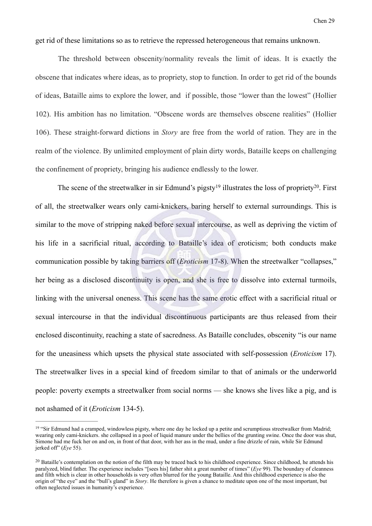get rid of these limitations so as to retrieve the repressed heterogeneous that remains unknown.

 The threshold between obscenity/normality reveals the limit of ideas. It is exactly the obscene that indicates where ideas, as to propriety, stop to function. In order to get rid of the bounds of ideas, Bataille aims to explore the lower, and if possible, those "lower than the lowest" (Hollier 102). His ambition has no limitation. "Obscene words are themselves obscene realities" (Hollier 106). These straight-forward dictions in *Story* are free from the world of ration. They are in the realm of the violence. By unlimited employment of plain dirty words, Bataille keeps on challenging the confinement of propriety, bringing his audience endlessly to the lower.

The scene of the streetwalker in sir Edmund's pigsty<sup>19</sup> illustrates the loss of propriety<sup>20</sup>. First of all, the streetwalker wears only cami-knickers, baring herself to external surroundings. This is similar to the move of stripping naked before sexual intercourse, as well as depriving the victim of his life in a sacrificial ritual, according to Bataille's idea of eroticism; both conducts make communication possible by taking barriers off (*Eroticism* 17-8). When the streetwalker "collapses," her being as a disclosed discontinuity is open, and she is free to dissolve into external turmoils, linking with the universal oneness. This scene has the same erotic effect with a sacrificial ritual or sexual intercourse in that the individual discontinuous participants are thus released from their enclosed discontinuity, reaching a state of sacredness. As Bataille concludes, obscenity "is our name for the uneasiness which upsets the physical state associated with self-possession (*Eroticism* 17). The streetwalker lives in a special kind of freedom similar to that of animals or the underworld people: poverty exempts a streetwalker from social norms — she knows she lives like a pig, and is not ashamed of it (*Eroticism* 134-5).

<sup>&</sup>lt;sup>19</sup> "Sir Edmund had a cramped, windowless pigsty, where one day he locked up a petite and scrumptious streetwalker from Madrid; wearing only cami-knickers. she collapsed in a pool of liquid manure under the bellies of the grunting swine. Once the door was shut, Simone had me fuck her on and on, in front of that door, with her ass in the mud, under a fine drizzle of rain, while Sir Edmund jerked off" (*Eye* 55).

 $20$  Bataille's contemplation on the notion of the filth may be traced back to his childhood experience. Since childhood, he attends his paralyzed, blind father. The experience includes "[sees his] father shit a great number of times" (*Eye* 99). The boundary of cleanness and filth which is clear in other households is very often blurred for the young Bataille. And this childhood experience is also the origin of "the eye" and the "bull's gland" in *Story*. He therefore is given a chance to meditate upon one of the most important, but often neglected issues in humanity's experience.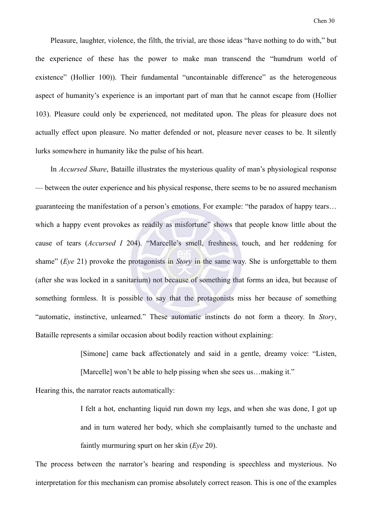Pleasure, laughter, violence, the filth, the trivial, are those ideas "have nothing to do with," but the experience of these has the power to make man transcend the "humdrum world of existence" (Hollier 100)). Their fundamental "uncontainable difference" as the heterogeneous aspect of humanity's experience is an important part of man that he cannot escape from (Hollier 103). Pleasure could only be experienced, not meditated upon. The pleas for pleasure does not actually effect upon pleasure. No matter defended or not, pleasure never ceases to be. It silently lurks somewhere in humanity like the pulse of his heart.

 In *Accursed Share*, Bataille illustrates the mysterious quality of man's physiological response — between the outer experience and his physical response, there seems to be no assured mechanism guaranteeing the manifestation of a person's emotions. For example: "the paradox of happy tears… which a happy event provokes as readily as misfortune" shows that people know little about the cause of tears (*Accursed I* 204). "Marcelle's smell, freshness, touch, and her reddening for shame" (*Eye* 21) provoke the protagonists in *Story* in the same way. She is unforgettable to them (after she was locked in a sanitarium) not because of something that forms an idea, but because of something formless. It is possible to say that the protagonists miss her because of something "automatic, instinctive, unlearned." These automatic instincts do not form a theory. In *Story*, Bataille represents a similar occasion about bodily reaction without explaining:

[Simone] came back affectionately and said in a gentle, dreamy voice: "Listen,

[Marcelle] won't be able to help pissing when she sees us...making it."

Hearing this, the narrator reacts automatically:

I felt a hot, enchanting liquid run down my legs, and when she was done, I got up and in turn watered her body, which she complaisantly turned to the unchaste and faintly murmuring spurt on her skin (*Eye* 20).

The process between the narrator's hearing and responding is speechless and mysterious. No interpretation for this mechanism can promise absolutely correct reason. This is one of the examples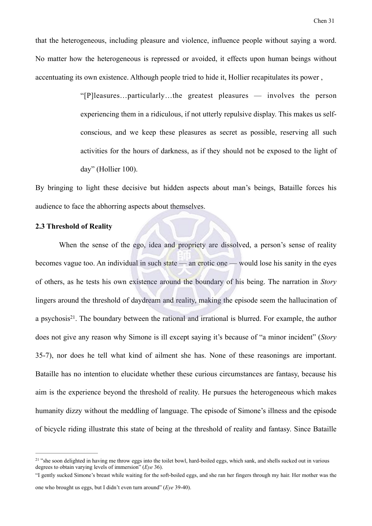that the heterogeneous, including pleasure and violence, influence people without saying a word. No matter how the heterogeneous is repressed or avoided, it effects upon human beings without accentuating its own existence. Although people tried to hide it, Hollier recapitulates its power ,

> "[P]leasures…particularly…the greatest pleasures — involves the person experiencing them in a ridiculous, if not utterly repulsive display. This makes us selfconscious, and we keep these pleasures as secret as possible, reserving all such activities for the hours of darkness, as if they should not be exposed to the light of day" (Hollier 100).

By bringing to light these decisive but hidden aspects about man's beings, Bataille forces his audience to face the abhorring aspects about themselves.

#### **2.3 Threshold of Reality**

When the sense of the ego, idea and propriety are dissolved, a person's sense of reality becomes vague too. An individual in such state — an erotic one — would lose his sanity in the eyes of others, as he tests his own existence around the boundary of his being. The narration in *Story* lingers around the threshold of daydream and reality, making the episode seem the hallucination of a psychosis<sup>21</sup>. The boundary between the rational and irrational is blurred. For example, the author does not give any reason why Simone is ill except saying it's because of "a minor incident" (*Story* 35-7), nor does he tell what kind of ailment she has. None of these reasonings are important. Bataille has no intention to elucidate whether these curious circumstances are fantasy, because his aim is the experience beyond the threshold of reality. He pursues the heterogeneous which makes humanity dizzy without the meddling of language. The episode of Simone's illness and the episode of bicycle riding illustrate this state of being at the threshold of reality and fantasy. Since Bataille

 $21$  "she soon delighted in having me throw eggs into the toilet bowl, hard-boiled eggs, which sank, and shells sucked out in various degrees to obtain varying levels of immersion" (*Eye* 36).

<sup>&</sup>quot;I gently sucked Simone's breast while waiting for the soft-boiled eggs, and she ran her fingers through my hair. Her mother was the

one who brought us eggs, but I didn't even turn around" (*Eye* 39-40).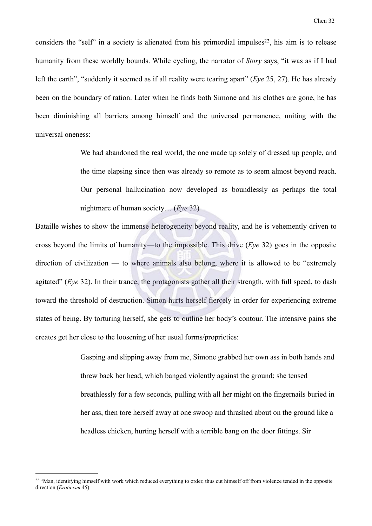considers the "self" in a society is alienated from his primordial impulses $^{22}$ , his aim is to release humanity from these worldly bounds. While cycling, the narrator of *Story* says, "it was as if I had left the earth", "suddenly it seemed as if all reality were tearing apart" (*Eye* 25, 27). He has already been on the boundary of ration. Later when he finds both Simone and his clothes are gone, he has been diminishing all barriers among himself and the universal permanence, uniting with the universal oneness:

> We had abandoned the real world, the one made up solely of dressed up people, and the time elapsing since then was already so remote as to seem almost beyond reach. Our personal hallucination now developed as boundlessly as perhaps the total nightmare of human society… (*Eye* 32)

Bataille wishes to show the immense heterogeneity beyond reality, and he is vehemently driven to cross beyond the limits of humanity—to the impossible. This drive (*Eye* 32) goes in the opposite direction of civilization — to where animals also belong, where it is allowed to be "extremely agitated" (*Eye* 32). In their trance, the protagonists gather all their strength, with full speed, to dash toward the threshold of destruction. Simon hurts herself fiercely in order for experiencing extreme states of being. By torturing herself, she gets to outline her body's contour. The intensive pains she creates get her close to the loosening of her usual forms/proprieties:

> Gasping and slipping away from me, Simone grabbed her own ass in both hands and threw back her head, which banged violently against the ground; she tensed breathlessly for a few seconds, pulling with all her might on the fingernails buried in her ass, then tore herself away at one swoop and thrashed about on the ground like a headless chicken, hurting herself with a terrible bang on the door fittings. Sir

<sup>&</sup>lt;sup>22</sup> "Man, identifying himself with work which reduced everything to order, thus cut himself off from violence tended in the opposite direction (*Eroticism* 45).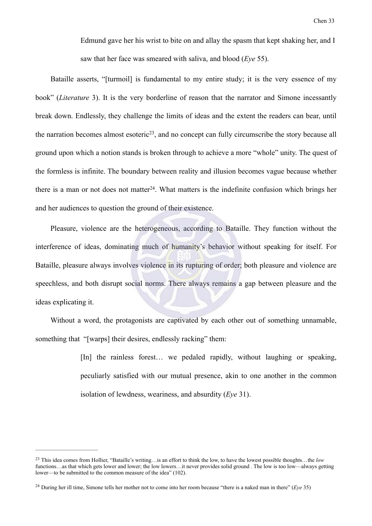Edmund gave her his wrist to bite on and allay the spasm that kept shaking her, and I saw that her face was smeared with saliva, and blood (*Eye* 55).

 Bataille asserts, "[turmoil] is fundamental to my entire study; it is the very essence of my book" (*Literature* 3). It is the very borderline of reason that the narrator and Simone incessantly break down. Endlessly, they challenge the limits of ideas and the extent the readers can bear, until the narration becomes almost esoteric<sup>23</sup>, and no concept can fully circumscribe the story because all ground upon which a notion stands is broken through to achieve a more "whole" unity. The quest of the formless is infinite. The boundary between reality and illusion becomes vague because whether there is a man or not does not matter<sup>24</sup>. What matters is the indefinite confusion which brings her and her audiences to question the ground of their existence.

 Pleasure, violence are the heterogeneous, according to Bataille. They function without the interference of ideas, dominating much of humanity's behavior without speaking for itself. For Bataille, pleasure always involves violence in its rupturing of order; both pleasure and violence are speechless, and both disrupt social norms. There always remains a gap between pleasure and the ideas explicating it.

 Without a word, the protagonists are captivated by each other out of something unnamable, something that "[warps] their desires, endlessly racking" them:

> [In] the rainless forest… we pedaled rapidly, without laughing or speaking, peculiarly satisfied with our mutual presence, akin to one another in the common isolation of lewdness, weariness, and absurdity (*Eye* 31).

<sup>23</sup> This idea comes from Hollier, "Bataille's writing…is an effort to think the low, to have the lowest possible thoughts…the *low* functions…as that which gets lower and lower; the low lowers…it never provides solid ground . The low is too low—always getting lower—to be submitted to the common measure of the idea" (102).

During her ill time, Simone tells her mother not to come into her room because "there is a naked man in there" (*Eye* 35) <sup>24</sup>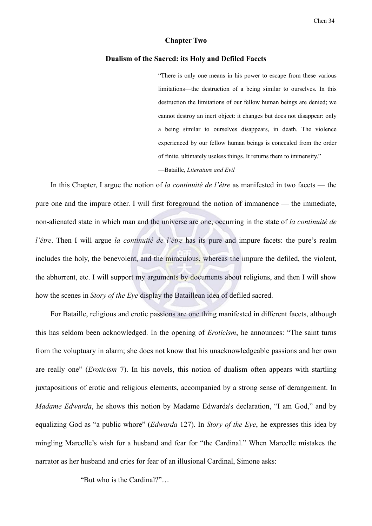#### **Chapter Two**

### **Dualism of the Sacred: its Holy and Defiled Facets**

"There is only one means in his power to escape from these various limitations—the destruction of a being similar to ourselves. In this destruction the limitations of our fellow human beings are denied; we cannot destroy an inert object: it changes but does not disappear: only a being similar to ourselves disappears, in death. The violence experienced by our fellow human beings is concealed from the order of finite, ultimately useless things. It returns them to immensity."

—Bataille, *Literature and Evil*

 In this Chapter, I argue the notion of *la continuité de l'être* as manifested in two facets — the pure one and the impure other. I will first foreground the notion of immanence — the immediate, non-alienated state in which man and the universe are one, occurring in the state of *la continuité de l'être*. Then I will argue *la continuité de l'être* has its pure and impure facets: the pure's realm includes the holy, the benevolent, and the miraculous, whereas the impure the defiled, the violent, the abhorrent, etc. I will support my arguments by documents about religions, and then I will show how the scenes in *Story of the Eye* display the Bataillean idea of defiled sacred.

 For Bataille, religious and erotic passions are one thing manifested in different facets, although this has seldom been acknowledged. In the opening of *Eroticism*, he announces: "The saint turns from the voluptuary in alarm; she does not know that his unacknowledgeable passions and her own are really one" (*Eroticism* 7). In his novels, this notion of dualism often appears with startling juxtapositions of erotic and religious elements, accompanied by a strong sense of derangement. In *Madame Edwarda*, he shows this notion by Madame Edwarda's declaration, "I am God," and by equalizing God as "a public whore" (*Edwarda* 127). In *Story of the Eye*, he expresses this idea by mingling Marcelle's wish for a husband and fear for "the Cardinal." When Marcelle mistakes the narrator as her husband and cries for fear of an illusional Cardinal, Simone asks:

"But who is the Cardinal?"…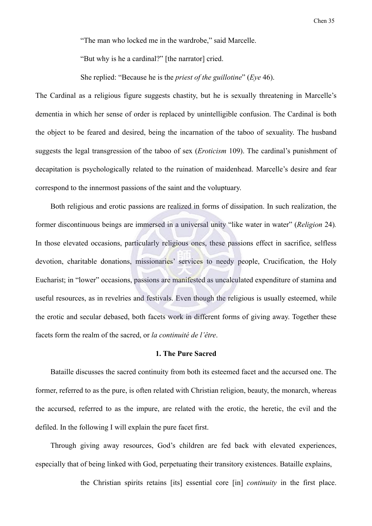"The man who locked me in the wardrobe," said Marcelle.

"But why is he a cardinal?" [the narrator] cried.

She replied: "Because he is the *priest of the guillotine*" (*Eye* 46).

The Cardinal as a religious figure suggests chastity, but he is sexually threatening in Marcelle's dementia in which her sense of order is replaced by unintelligible confusion. The Cardinal is both the object to be feared and desired, being the incarnation of the taboo of sexuality. The husband suggests the legal transgression of the taboo of sex (*Eroticism* 109). The cardinal's punishment of decapitation is psychologically related to the ruination of maidenhead. Marcelle's desire and fear correspond to the innermost passions of the saint and the voluptuary.

 Both religious and erotic passions are realized in forms of dissipation. In such realization, the former discontinuous beings are immersed in a universal unity "like water in water" (*Religion* 24)*.*  In those elevated occasions, particularly religious ones, these passions effect in sacrifice, selfless devotion, charitable donations, missionaries' services to needy people, Crucification, the Holy Eucharist; in "lower" occasions, passions are manifested as uncalculated expenditure of stamina and useful resources, as in revelries and festivals. Even though the religious is usually esteemed, while the erotic and secular debased, both facets work in different forms of giving away. Together these facets form the realm of the sacred, or *la continuité de l'être*.

## **1. The Pure Sacred**

 Bataille discusses the sacred continuity from both its esteemed facet and the accursed one. The former, referred to as the pure, is often related with Christian religion, beauty, the monarch, whereas the accursed, referred to as the impure, are related with the erotic, the heretic, the evil and the defiled. In the following I will explain the pure facet first.

 Through giving away resources, God's children are fed back with elevated experiences, especially that of being linked with God, perpetuating their transitory existences. Bataille explains,

the Christian spirits retains [its] essential core [in] *continuity* in the first place.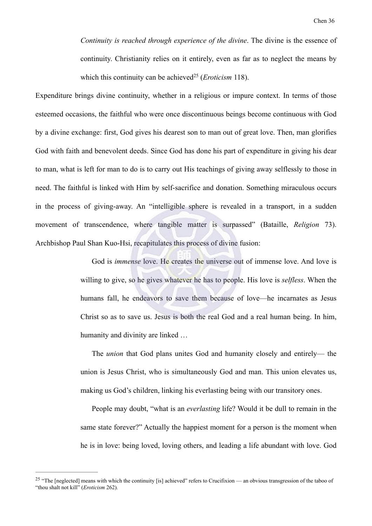*Continuity is reached through experience of the divine*. The divine is the essence of continuity. Christianity relies on it entirely, even as far as to neglect the means by which this continuity can be achieved<sup>25</sup> (*Eroticism* 118).

Expenditure brings divine continuity, whether in a religious or impure context. In terms of those esteemed occasions, the faithful who were once discontinuous beings become continuous with God by a divine exchange: first, God gives his dearest son to man out of great love. Then, man glorifies God with faith and benevolent deeds. Since God has done his part of expenditure in giving his dear to man, what is left for man to do is to carry out His teachings of giving away selflessly to those in need. The faithful is linked with Him by self-sacrifice and donation. Something miraculous occurs in the process of giving-away. An "intelligible sphere is revealed in a transport, in a sudden movement of transcendence, where tangible matter is surpassed" (Bataille, *Religion* 73). Archbishop Paul Shan Kuo-Hsi, recapitulates this process of divine fusion:

> God is *immense* love. He creates the universe out of immense love. And love is willing to give, so he gives whatever he has to people. His love is *selfless*. When the humans fall, he endeavors to save them because of love—he incarnates as Jesus Christ so as to save us. Jesus is both the real God and a real human being. In him, humanity and divinity are linked …

> The *union* that God plans unites God and humanity closely and entirely— the union is Jesus Christ, who is simultaneously God and man. This union elevates us, making us God's children, linking his everlasting being with our transitory ones.

> People may doubt, "what is an *everlasting* life? Would it be dull to remain in the same state forever?" Actually the happiest moment for a person is the moment when he is in love: being loved, loving others, and leading a life abundant with love. God

<sup>&</sup>lt;sup>25</sup> "The [neglected] means with which the continuity [is] achieved" refers to Crucifixion — an obvious transgression of the taboo of "thou shalt not kill" (*Eroticism* 262).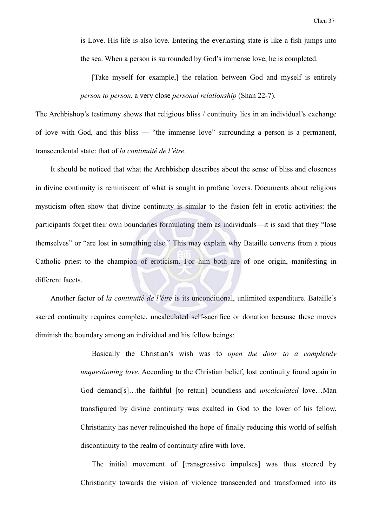is Love. His life is also love. Entering the everlasting state is like a fish jumps into the sea. When a person is surrounded by God's immense love, he is completed.

[Take myself for example,] the relation between God and myself is entirely *person to person*, a very close *personal relationship* (Shan 22-7).

The Archbishop's testimony shows that religious bliss / continuity lies in an individual's exchange of love with God, and this bliss — "the immense love" surrounding a person is a permanent, transcendental state: that of *la continuité de l'être*.

 It should be noticed that what the Archbishop describes about the sense of bliss and closeness in divine continuity is reminiscent of what is sought in profane lovers. Documents about religious mysticism often show that divine continuity is similar to the fusion felt in erotic activities: the participants forget their own boundaries formulating them as individuals—it is said that they "lose themselves" or "are lost in something else." This may explain why Bataille converts from a pious Catholic priest to the champion of eroticism. For him both are of one origin, manifesting in different facets.

 Another factor of *la continuité de l'être* is its unconditional, unlimited expenditure. Bataille's sacred continuity requires complete, uncalculated self-sacrifice or donation because these moves diminish the boundary among an individual and his fellow beings:

> Basically the Christian's wish was to *open the door to a completely unquestioning love*. According to the Christian belief, lost continuity found again in God demand[s]…the faithful [to retain] boundless and *uncalculated* love…Man transfigured by divine continuity was exalted in God to the lover of his fellow. Christianity has never relinquished the hope of finally reducing this world of selfish discontinuity to the realm of continuity afire with love.

> The initial movement of [transgressive impulses] was thus steered by Christianity towards the vision of violence transcended and transformed into its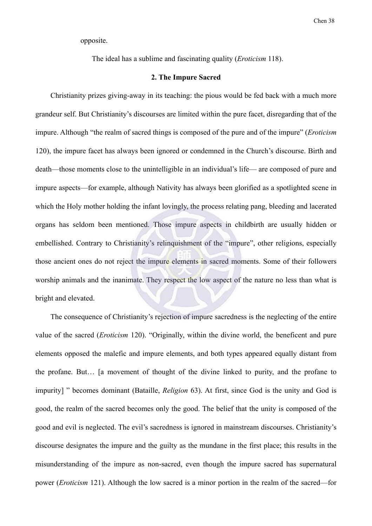opposite.

The ideal has a sublime and fascinating quality (*Eroticism* 118).

#### **2. The Impure Sacred**

 Christianity prizes giving-away in its teaching: the pious would be fed back with a much more grandeur self. But Christianity's discourses are limited within the pure facet, disregarding that of the impure. Although "the realm of sacred things is composed of the pure and of the impure" (*Eroticism* 120), the impure facet has always been ignored or condemned in the Church's discourse. Birth and death—those moments close to the unintelligible in an individual's life— are composed of pure and impure aspects—for example, although Nativity has always been glorified as a spotlighted scene in which the Holy mother holding the infant lovingly, the process relating pang, bleeding and lacerated organs has seldom been mentioned. Those impure aspects in childbirth are usually hidden or embellished. Contrary to Christianity's relinquishment of the "impure", other religions, especially those ancient ones do not reject the impure elements in sacred moments. Some of their followers worship animals and the inanimate. They respect the low aspect of the nature no less than what is bright and elevated.

 The consequence of Christianity's rejection of impure sacredness is the neglecting of the entire value of the sacred (*Eroticism* 120). "Originally, within the divine world, the beneficent and pure elements opposed the malefic and impure elements, and both types appeared equally distant from the profane. But… [a movement of thought of the divine linked to purity, and the profane to impurity] " becomes dominant (Bataille, *Religion* 63). At first, since God is the unity and God is good, the realm of the sacred becomes only the good. The belief that the unity is composed of the good and evil is neglected. The evil's sacredness is ignored in mainstream discourses. Christianity's discourse designates the impure and the guilty as the mundane in the first place; this results in the misunderstanding of the impure as non-sacred, even though the impure sacred has supernatural power (*Eroticism* 121). Although the low sacred is a minor portion in the realm of the sacred—for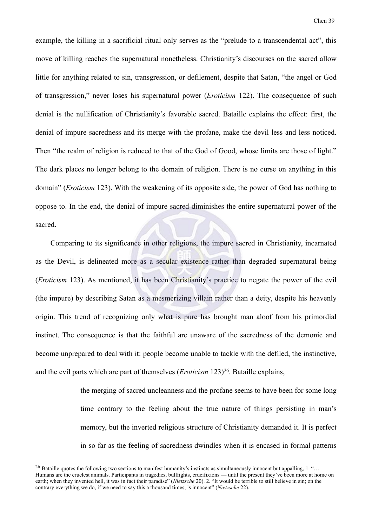example, the killing in a sacrificial ritual only serves as the "prelude to a transcendental act", this move of killing reaches the supernatural nonetheless. Christianity's discourses on the sacred allow little for anything related to sin, transgression, or defilement, despite that Satan, "the angel or God of transgression," never loses his supernatural power (*Eroticism* 122). The consequence of such denial is the nullification of Christianity's favorable sacred. Bataille explains the effect: first, the denial of impure sacredness and its merge with the profane, make the devil less and less noticed. Then "the realm of religion is reduced to that of the God of Good, whose limits are those of light." The dark places no longer belong to the domain of religion. There is no curse on anything in this domain" (*Eroticism* 123). With the weakening of its opposite side, the power of God has nothing to oppose to. In the end, the denial of impure sacred diminishes the entire supernatural power of the sacred.

 Comparing to its significance in other religions, the impure sacred in Christianity, incarnated as the Devil, is delineated more as a secular existence rather than degraded supernatural being (*Eroticism* 123). As mentioned, it has been Christianity's practice to negate the power of the evil (the impure) by describing Satan as a mesmerizing villain rather than a deity, despite his heavenly origin. This trend of recognizing only what is pure has brought man aloof from his primordial instinct. The consequence is that the faithful are unaware of the sacredness of the demonic and become unprepared to deal with it: people become unable to tackle with the defiled, the instinctive, and the evil parts which are part of themselves (*Eroticism* 123)<sup>26</sup>. Bataille explains,

> the merging of sacred uncleanness and the profane seems to have been for some long time contrary to the feeling about the true nature of things persisting in man's memory, but the inverted religious structure of Christianity demanded it. It is perfect in so far as the feeling of sacredness dwindles when it is encased in formal patterns

<sup>&</sup>lt;sup>26</sup> Bataille quotes the following two sections to manifest humanity's instincts as simultaneously innocent but appalling, 1. "... Humans are the cruelest animals. Participants in tragedies, bullfights, crucifixions — until the present they've been more at home on earth; when they invented hell, it was in fact their paradise" (*Nietzsche* 20). 2. "It would be terrible to still believe in sin; on the contrary everything we do, if we need to say this a thousand times, is innocent" (*Nietzsche* 22).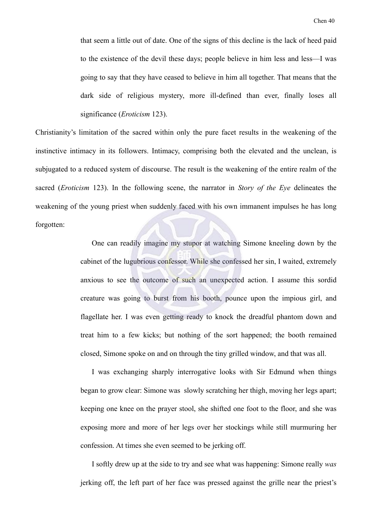that seem a little out of date. One of the signs of this decline is the lack of heed paid to the existence of the devil these days; people believe in him less and less—I was going to say that they have ceased to believe in him all together. That means that the dark side of religious mystery, more ill-defined than ever, finally loses all significance (*Eroticism* 123).

Christianity's limitation of the sacred within only the pure facet results in the weakening of the instinctive intimacy in its followers. Intimacy, comprising both the elevated and the unclean, is subjugated to a reduced system of discourse. The result is the weakening of the entire realm of the sacred (*Eroticism* 123). In the following scene, the narrator in *Story of the Eye* delineates the weakening of the young priest when suddenly faced with his own immanent impulses he has long forgotten:

> One can readily imagine my stupor at watching Simone kneeling down by the cabinet of the lugubrious confessor. While she confessed her sin, I waited, extremely anxious to see the outcome of such an unexpected action. I assume this sordid creature was going to burst from his booth, pounce upon the impious girl, and flagellate her. I was even getting ready to knock the dreadful phantom down and treat him to a few kicks; but nothing of the sort happened; the booth remained closed, Simone spoke on and on through the tiny grilled window, and that was all.

> I was exchanging sharply interrogative looks with Sir Edmund when things began to grow clear: Simone was slowly scratching her thigh, moving her legs apart; keeping one knee on the prayer stool, she shifted one foot to the floor, and she was exposing more and more of her legs over her stockings while still murmuring her confession. At times she even seemed to be jerking off.

> I softly drew up at the side to try and see what was happening: Simone really *was* jerking off, the left part of her face was pressed against the grille near the priest's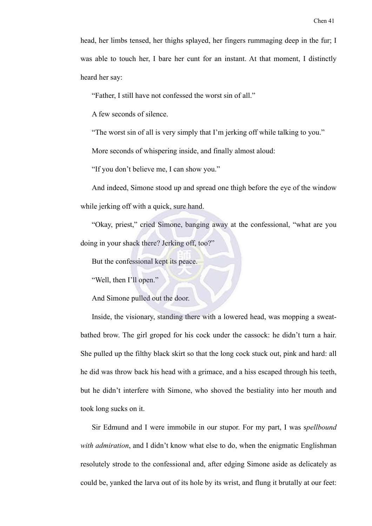head, her limbs tensed, her thighs splayed, her fingers rummaging deep in the fur; I was able to touch her, I bare her cunt for an instant. At that moment, I distinctly heard her say:

"Father, I still have not confessed the worst sin of all."

A few seconds of silence.

"The worst sin of all is very simply that I'm jerking off while talking to you."

More seconds of whispering inside, and finally almost aloud:

"If you don't believe me, I can show you."

And indeed, Simone stood up and spread one thigh before the eye of the window while jerking off with a quick, sure hand.

"Okay, priest," cried Simone, banging away at the confessional, "what are you doing in your shack there? Jerking off, too?"

But the confessional kept its peace.

"Well, then I'll open."

And Simone pulled out the door.

Inside, the visionary, standing there with a lowered head, was mopping a sweatbathed brow. The girl groped for his cock under the cassock: he didn't turn a hair. She pulled up the filthy black skirt so that the long cock stuck out, pink and hard: all he did was throw back his head with a grimace, and a hiss escaped through his teeth, but he didn't interfere with Simone, who shoved the bestiality into her mouth and took long sucks on it.

Sir Edmund and I were immobile in our stupor. For my part, I was s*pellbound with admiration*, and I didn't know what else to do, when the enigmatic Englishman resolutely strode to the confessional and, after edging Simone aside as delicately as could be, yanked the larva out of its hole by its wrist, and flung it brutally at our feet: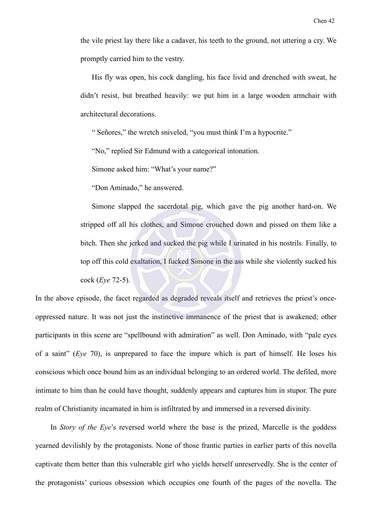the vile priest lay there like a cadaver, his teeth to the ground, not uttering a cry. We promptly carried him to the vestry.

His fly was open, his cock dangling, his face livid and drenched with sweat, he didn't resist, but breathed heavily: we put him in a large wooden armchair with architectural decorations.

" Señores," the wretch sniveled, "you must think I'm a hypocrite."

"No," replied Sir Edmund with a categorical intonation.

Simone asked him: "What's your name?"

"Don Aminado," he answered.

Simone slapped the sacerdotal pig, which gave the pig another hard-on. We stripped off all his clothes, and Simone crouched down and pissed on them like a bitch. Then she jerked and sucked the pig while I urinated in his nostrils. Finally, to top off this cold exaltation, I fucked Simone in the ass while she violently sucked his cock (*Eye* 72-5).

In the above episode, the facet regarded as degraded reveals itself and retrieves the priest's onceoppressed nature. It was not just the instinctive immanence of the priest that is awakened; other participants in this scene are "spellbound with admiration" as well. Don Aminado, with "pale eyes of a saint" (*Eye* 70), is unprepared to face the impure which is part of himself. He loses his conscious which once bound him as an individual belonging to an ordered world. The defiled, more intimate to him than he could have thought, suddenly appears and captures him in stupor. The pure realm of Christianity incarnated in him is infiltrated by and immersed in a reversed divinity.

 In *Story of the Eye*'s reversed world where the base is the prized, Marcelle is the goddess yearned devilishly by the protagonists. None of those frantic parties in earlier parts of this novella captivate them better than this vulnerable girl who yields herself unreservedly. She is the center of the protagonists' curious obsession which occupies one fourth of the pages of the novella. The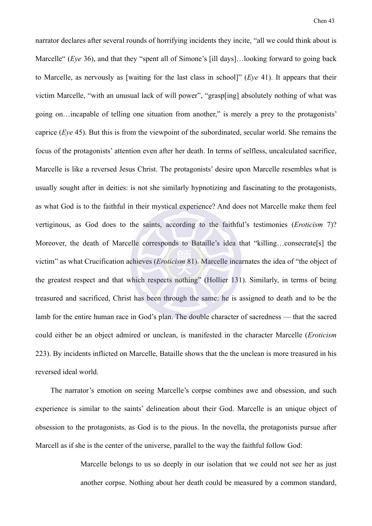narrator declares after several rounds of horrifying incidents they incite, "all we could think about is Marcelle" (*Eye* 36), and that they "spent all of Simone's [ill days]...looking forward to going back to Marcelle, as nervously as [waiting for the last class in school]" (*Eye* 41). It appears that their victim Marcelle, "with an unusual lack of will power", "grasp[ing] absolutely nothing of what was going on…incapable of telling one situation from another," is merely a prey to the protagonists' caprice (*Eye* 45). But this is from the viewpoint of the subordinated, secular world. She remains the focus of the protagonists' attention even after her death. In terms of selfless, uncalculated sacrifice, Marcelle is like a reversed Jesus Christ. The protagonists' desire upon Marcelle resembles what is usually sought after in deities: is not she similarly hypnotizing and fascinating to the protagonists, as what God is to the faithful in their mystical experience? And does not Marcelle make them feel vertiginous, as God does to the saints, according to the faithful's testimonies (*Eroticism* 7)? Moreover, the death of Marcelle corresponds to Bataille's idea that "killing…consecrate[s] the victim" as what Crucification achieves (*Eroticism* 81). Marcelle incarnates the idea of "the object of the greatest respect and that which respects nothing" (Hollier 131). Similarly, in terms of being treasured and sacrificed, Christ has been through the same: he is assigned to death and to be the lamb for the entire human race in God's plan. The double character of sacredness — that the sacred could either be an object admired or unclean, is manifested in the character Marcelle (*Eroticism* 223). By incidents inflicted on Marcelle, Bataille shows that the the unclean is more treasured in his reversed ideal world.

 The narrator's emotion on seeing Marcelle's corpse combines awe and obsession, and such experience is similar to the saints' delineation about their God. Marcelle is an unique object of obsession to the protagonists, as God is to the pious. In the novella, the protagonists pursue after Marcell as if she is the center of the universe, parallel to the way the faithful follow God:

> Marcelle belongs to us so deeply in our isolation that we could not see her as just another corpse. Nothing about her death could be measured by a common standard,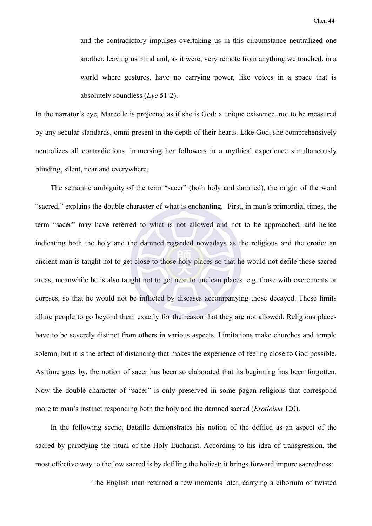and the contradictory impulses overtaking us in this circumstance neutralized one another, leaving us blind and, as it were, very remote from anything we touched, in a world where gestures, have no carrying power, like voices in a space that is absolutely soundless (*Eye* 51-2).

In the narrator's eye, Marcelle is projected as if she is God: a unique existence, not to be measured by any secular standards, omni-present in the depth of their hearts. Like God, she comprehensively neutralizes all contradictions, immersing her followers in a mythical experience simultaneously blinding, silent, near and everywhere.

 The semantic ambiguity of the term "sacer" (both holy and damned), the origin of the word "sacred," explains the double character of what is enchanting. First, in man's primordial times, the term "sacer" may have referred to what is not allowed and not to be approached, and hence indicating both the holy and the damned regarded nowadays as the religious and the erotic: an ancient man is taught not to get close to those holy places so that he would not defile those sacred areas; meanwhile he is also taught not to get near to unclean places, e.g. those with excrements or corpses, so that he would not be inflicted by diseases accompanying those decayed. These limits allure people to go beyond them exactly for the reason that they are not allowed. Religious places have to be severely distinct from others in various aspects. Limitations make churches and temple solemn, but it is the effect of distancing that makes the experience of feeling close to God possible. As time goes by, the notion of sacer has been so elaborated that its beginning has been forgotten. Now the double character of "sacer" is only preserved in some pagan religions that correspond more to man's instinct responding both the holy and the damned sacred (*Eroticism* 120).

 In the following scene, Bataille demonstrates his notion of the defiled as an aspect of the sacred by parodying the ritual of the Holy Eucharist. According to his idea of transgression, the most effective way to the low sacred is by defiling the holiest; it brings forward impure sacredness:

The English man returned a few moments later, carrying a ciborium of twisted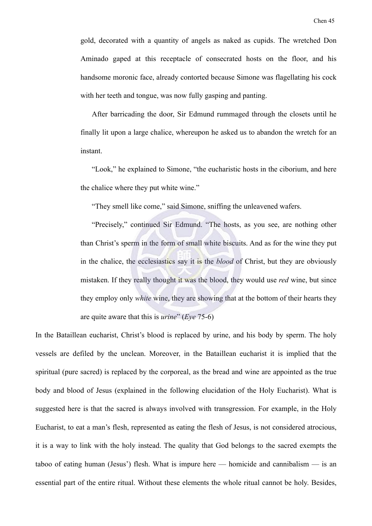gold, decorated with a quantity of angels as naked as cupids. The wretched Don Aminado gaped at this receptacle of consecrated hosts on the floor, and his handsome moronic face, already contorted because Simone was flagellating his cock with her teeth and tongue, was now fully gasping and panting.

After barricading the door, Sir Edmund rummaged through the closets until he finally lit upon a large chalice, whereupon he asked us to abandon the wretch for an instant.

"Look," he explained to Simone, "the eucharistic hosts in the ciborium, and here the chalice where they put white wine."

"They smell like come," said Simone, sniffing the unleavened wafers.

"Precisely," continued Sir Edmund. "The hosts, as you see, are nothing other than Christ's sperm in the form of small white biscuits. And as for the wine they put in the chalice, the ecclesiastics say it is the *blood* of Christ, but they are obviously mistaken. If they really thought it was the blood, they would use *red* wine, but since they employ only *white* wine, they are showing that at the bottom of their hearts they are quite aware that this is *urine*" (*Eye* 75-6)

In the Bataillean eucharist, Christ's blood is replaced by urine, and his body by sperm. The holy vessels are defiled by the unclean. Moreover, in the Bataillean eucharist it is implied that the spiritual (pure sacred) is replaced by the corporeal, as the bread and wine are appointed as the true body and blood of Jesus (explained in the following elucidation of the Holy Eucharist). What is suggested here is that the sacred is always involved with transgression. For example, in the Holy Eucharist, to eat a man's flesh, represented as eating the flesh of Jesus, is not considered atrocious, it is a way to link with the holy instead. The quality that God belongs to the sacred exempts the taboo of eating human (Jesus') flesh. What is impure here — homicide and cannibalism — is an essential part of the entire ritual. Without these elements the whole ritual cannot be holy. Besides,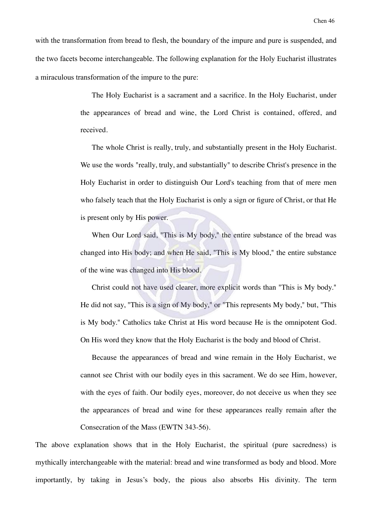with the transformation from bread to flesh, the boundary of the impure and pure is suspended, and the two facets become interchangeable. The following explanation for the Holy Eucharist illustrates a miraculous transformation of the impure to the pure:

> The Holy Eucharist is a sacrament and a sacrifice. In the Holy Eucharist, under the appearances of bread and wine, the Lord Christ is contained, offered, and received.

> The whole Christ is really, truly, and substantially present in the Holy Eucharist. We use the words "really, truly, and substantially" to describe Christ's presence in the Holy Eucharist in order to distinguish Our Lord's teaching from that of mere men who falsely teach that the Holy Eucharist is only a sign or figure of Christ, or that He is present only by His power.

> When Our Lord said, "This is My body," the entire substance of the bread was changed into His body; and when He said, "This is My blood," the entire substance of the wine was changed into His blood.

> Christ could not have used clearer, more explicit words than "This is My body." He did not say, "This is a sign of My body," or "This represents My body," but, "This is My body." Catholics take Christ at His word because He is the omnipotent God. On His word they know that the Holy Eucharist is the body and blood of Christ.

> Because the appearances of bread and wine remain in the Holy Eucharist, we cannot see Christ with our bodily eyes in this sacrament. We do see Him, however, with the eyes of faith. Our bodily eyes, moreover, do not deceive us when they see the appearances of bread and wine for these appearances really remain after the Consecration of the Mass (EWTN 343-56).

The above explanation shows that in the Holy Eucharist, the spiritual (pure sacredness) is mythically interchangeable with the material: bread and wine transformed as body and blood. More importantly, by taking in Jesus's body, the pious also absorbs His divinity. The term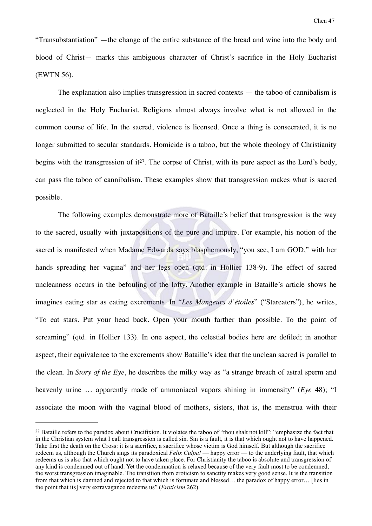"Transubstantiation" —the change of the entire substance of the bread and wine into the body and blood of Christ— marks this ambiguous character of Christ's sacrifice in the Holy Eucharist (EWTN 56).

The explanation also implies transgression in sacred contexts — the taboo of cannibalism is neglected in the Holy Eucharist. Religions almost always involve what is not allowed in the common course of life. In the sacred, violence is licensed. Once a thing is consecrated, it is no longer submitted to secular standards. Homicide is a taboo, but the whole theology of Christianity begins with the transgression of it<sup>27</sup>. The corpse of Christ, with its pure aspect as the Lord's body, can pass the taboo of cannibalism. These examples show that transgression makes what is sacred possible.

The following examples demonstrate more of Bataille's belief that transgression is the way to the sacred, usually with juxtapositions of the pure and impure. For example, his notion of the sacred is manifested when Madame Edwarda says blasphemously, "you see, I am GOD," with her hands spreading her vagina" and her legs open (qtd. in Hollier 138-9). The effect of sacred uncleanness occurs in the befouling of the lofty. Another example in Bataille's article shows he imagines eating star as eating excrements. In "*Les Mangeurs d'étoiles*" ("Stareaters"), he writes, "To eat stars. Put your head back. Open your mouth farther than possible. To the point of screaming" (qtd. in Hollier 133). In one aspect, the celestial bodies here are defiled; in another aspect, their equivalence to the excrements show Bataille's idea that the unclean sacred is parallel to the clean. In *Story of the Eye*, he describes the milky way as "a strange breach of astral sperm and heavenly urine … apparently made of ammoniacal vapors shining in immensity" (*Eye* 48); "I associate the moon with the vaginal blood of mothers, sisters, that is, the menstrua with their

<sup>&</sup>lt;sup>27</sup> Bataille refers to the paradox about Crucifixion. It violates the taboo of "thou shalt not kill": "emphasize the fact that in the Christian system what I call transgression is called sin. Sin is a fault, it is that which ought not to have happened. Take first the death on the Cross: it is a sacrifice, a sacrifice whose victim is God himself. But although the sacrifice redeem us, although the Church sings its paradoxical *Felix Culpa!* — happy error — to the underlying fault, that which redeems us is also that which ought not to have taken place. For Christianity the taboo is absolute and transgression of any kind is condemned out of hand. Yet the condemnation is relaxed because of the very fault most to be condemned, the worst transgression imaginable. The transition from eroticism to sanctity makes very good sense. It is the transition from that which is damned and rejected to that which is fortunate and blessed… the paradox of happy error… [lies in the point that its] very extravagance redeems us" (*Eroticism* 262).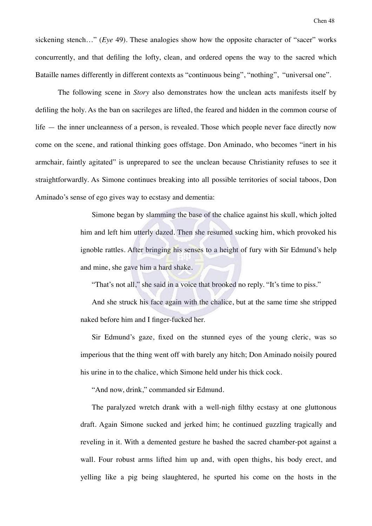sickening stench..." (*Eye* 49). These analogies show how the opposite character of "sacer" works concurrently, and that defiling the lofty, clean, and ordered opens the way to the sacred which Bataille names differently in different contexts as "continuous being", "nothing", "universal one".

The following scene in *Story* also demonstrates how the unclean acts manifests itself by defiling the holy. As the ban on sacrileges are lifted, the feared and hidden in the common course of life — the inner uncleanness of a person, is revealed. Those which people never face directly now come on the scene, and rational thinking goes offstage. Don Aminado, who becomes "inert in his armchair, faintly agitated" is unprepared to see the unclean because Christianity refuses to see it straightforwardly. As Simone continues breaking into all possible territories of social taboos, Don Aminado's sense of ego gives way to ecstasy and dementia:

> Simone began by slamming the base of the chalice against his skull, which jolted him and left him utterly dazed. Then she resumed sucking him, which provoked his ignoble rattles. After bringing his senses to a height of fury with Sir Edmund's help and mine, she gave him a hard shake.

"That's not all," she said in a voice that brooked no reply. "It's time to piss."

And she struck his face again with the chalice, but at the same time she stripped naked before him and I finger-fucked her.

Sir Edmund's gaze, fixed on the stunned eyes of the young cleric, was so imperious that the thing went off with barely any hitch; Don Aminado noisily poured his urine in to the chalice, which Simone held under his thick cock.

"And now, drink," commanded sir Edmund.

The paralyzed wretch drank with a well-nigh filthy ecstasy at one gluttonous draft. Again Simone sucked and jerked him; he continued guzzling tragically and reveling in it. With a demented gesture he bashed the sacred chamber-pot against a wall. Four robust arms lifted him up and, with open thighs, his body erect, and yelling like a pig being slaughtered, he spurted his come on the hosts in the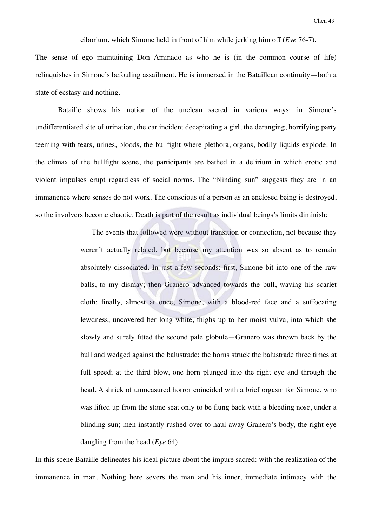ciborium, which Simone held in front of him while jerking him off (*Eye* 76-7).

The sense of ego maintaining Don Aminado as who he is (in the common course of life) relinquishes in Simone's befouling assailment. He is immersed in the Bataillean continuity—both a state of ecstasy and nothing.

Bataille shows his notion of the unclean sacred in various ways: in Simone's undifferentiated site of urination, the car incident decapitating a girl, the deranging, horrifying party teeming with tears, urines, bloods, the bullfight where plethora, organs, bodily liquids explode. In the climax of the bullfight scene, the participants are bathed in a delirium in which erotic and violent impulses erupt regardless of social norms. The "blinding sun" suggests they are in an immanence where senses do not work. The conscious of a person as an enclosed being is destroyed, so the involvers become chaotic. Death is part of the result as individual beings's limits diminish:

> The events that followed were without transition or connection, not because they weren't actually related, but because my attention was so absent as to remain absolutely dissociated. In just a few seconds: first, Simone bit into one of the raw balls, to my dismay; then Granero advanced towards the bull, waving his scarlet cloth; finally, almost at once, Simone, with a blood-red face and a suffocating lewdness, uncovered her long white, thighs up to her moist vulva, into which she slowly and surely fitted the second pale globule—Granero was thrown back by the bull and wedged against the balustrade; the horns struck the balustrade three times at full speed; at the third blow, one horn plunged into the right eye and through the head. A shriek of unmeasured horror coincided with a brief orgasm for Simone, who was lifted up from the stone seat only to be flung back with a bleeding nose, under a blinding sun; men instantly rushed over to haul away Granero's body, the right eye dangling from the head (*Eye* 64).

In this scene Bataille delineates his ideal picture about the impure sacred: with the realization of the immanence in man. Nothing here severs the man and his inner, immediate intimacy with the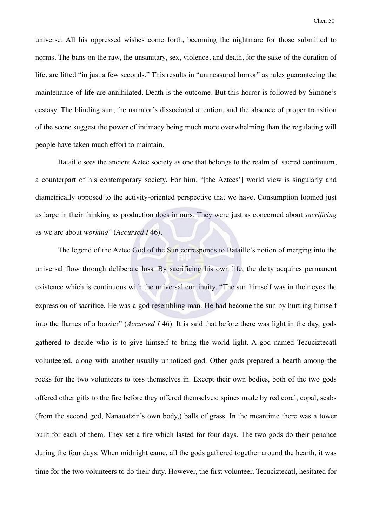universe. All his oppressed wishes come forth, becoming the nightmare for those submitted to norms. The bans on the raw, the unsanitary, sex, violence, and death, for the sake of the duration of life, are lifted "in just a few seconds." This results in "unmeasured horror" as rules guaranteeing the maintenance of life are annihilated. Death is the outcome. But this horror is followed by Simone's ecstasy. The blinding sun, the narrator's dissociated attention, and the absence of proper transition of the scene suggest the power of intimacy being much more overwhelming than the regulating will people have taken much effort to maintain.

Bataille sees the ancient Aztec society as one that belongs to the realm of sacred continuum, a counterpart of his contemporary society. For him, "[the Aztecs'] world view is singularly and diametrically opposed to the activity-oriented perspective that we have. Consumption loomed just as large in their thinking as production does in ours. They were just as concerned about *sacrificing* as we are about *working*" (*Accursed I* 46).

 The legend of the Aztec God of the Sun corresponds to Bataille's notion of merging into the universal flow through deliberate loss. By sacrificing his own life, the deity acquires permanent existence which is continuous with the universal continuity. "The sun himself was in their eyes the expression of sacrifice. He was a god resembling man. He had become the sun by hurtling himself into the flames of a brazier" (*Accursed I* 46). It is said that before there was light in the day, gods gathered to decide who is to give himself to bring the world light. A god named Tecuciztecatl volunteered, along with another usually unnoticed god. Other gods prepared a hearth among the rocks for the two volunteers to toss themselves in. Except their own bodies, both of the two gods offered other gifts to the fire before they offered themselves: spines made by red coral, copal, scabs (from the second god, Nanauatzin's own body,) balls of grass. In the meantime there was a tower built for each of them. They set a fire which lasted for four days. The two gods do their penance during the four days. When midnight came, all the gods gathered together around the hearth, it was time for the two volunteers to do their duty. However, the first volunteer, Tecuciztecatl, hesitated for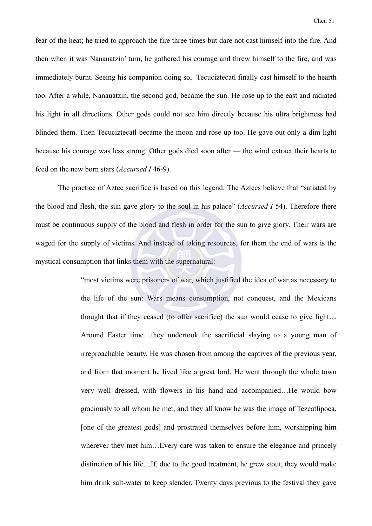fear of the heat; he tried to approach the fire three times but dare not cast himself into the fire. And then when it was Nanauatzin' turn, he gathered his courage and threw himself to the fire, and was immediately burnt. Seeing his companion doing so, Tecuciztecatl finally cast himself to the hearth too. After a while, Nanauatzin, the second god, became the sun. He rose up to the east and radiated his light in all directions. Other gods could not see him directly because his ultra brightness had blinded them. Then Tecuciztecatl became the moon and rose up too. He gave out only a dim light because his courage was less strong. Other gods died soon after — the wind extract their hearts to feed on the new born stars (*Accursed I* 46-9).

 The practice of Aztec sacrifice is based on this legend. The Aztecs believe that "satiated by the blood and flesh, the sun gave glory to the soul in his palace" (*Accursed I* 54). Therefore there must be continuous supply of the blood and flesh in order for the sun to give glory. Their wars are waged for the supply of victims. And instead of taking resources, for them the end of wars is the mystical consumption that links them with the supernatural:

> "most victims were prisoners of war, which justified the idea of war as necessary to the life of the sun: Wars means consumption, not conquest, and the Mexicans thought that if they ceased (to offer sacrifice) the sun would cease to give light… Around Easter time…they undertook the sacrificial slaying to a young man of irreproachable beauty. He was chosen from among the captives of the previous year, and from that moment he lived like a great lord. He went through the whole town very well dressed, with flowers in his hand and accompanied…He would bow graciously to all whom he met, and they all know he was the image of Tezcatlipoca, [one of the greatest gods] and prostrated themselves before him, worshipping him wherever they met him...Every care was taken to ensure the elegance and princely distinction of his life…If, due to the good treatment, he grew stout, they would make him drink salt-water to keep slender. Twenty days previous to the festival they gave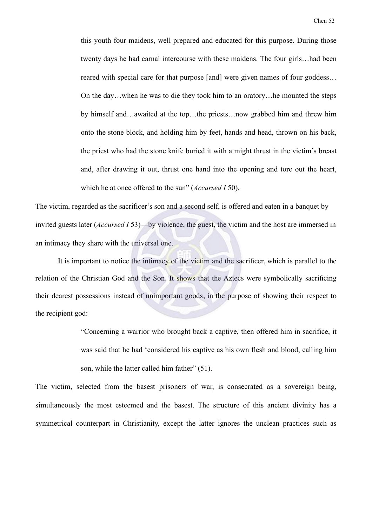this youth four maidens, well prepared and educated for this purpose. During those twenty days he had carnal intercourse with these maidens. The four girls…had been reared with special care for that purpose [and] were given names of four goddess… On the day…when he was to die they took him to an oratory…he mounted the steps by himself and…awaited at the top…the priests…now grabbed him and threw him onto the stone block, and holding him by feet, hands and head, thrown on his back, the priest who had the stone knife buried it with a might thrust in the victim's breast and, after drawing it out, thrust one hand into the opening and tore out the heart, which he at once offered to the sun" (*Accursed I* 50).

The victim, regarded as the sacrificer's son and a second self, is offered and eaten in a banquet by invited guests later (*Accursed I* 53)—by violence, the guest, the victim and the host are immersed in an intimacy they share with the universal one.

It is important to notice the intimacy of the victim and the sacrificer, which is parallel to the relation of the Christian God and the Son. It shows that the Aztecs were symbolically sacrificing their dearest possessions instead of unimportant goods, in the purpose of showing their respect to the recipient god:

> "Concerning a warrior who brought back a captive, then offered him in sacrifice, it was said that he had 'considered his captive as his own flesh and blood, calling him son, while the latter called him father" (51).

The victim, selected from the basest prisoners of war, is consecrated as a sovereign being, simultaneously the most esteemed and the basest. The structure of this ancient divinity has a symmetrical counterpart in Christianity, except the latter ignores the unclean practices such as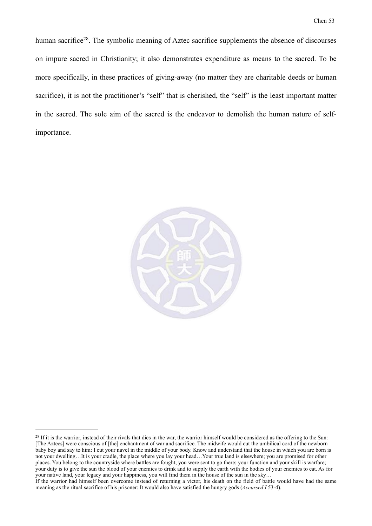human sacrifice<sup>28</sup>. The symbolic meaning of Aztec sacrifice supplements the absence of discourses on impure sacred in Christianity; it also demonstrates expenditure as means to the sacred. To be more specifically, in these practices of giving-away (no matter they are charitable deeds or human sacrifice), it is not the practitioner's "self" that is cherished, the "self" is the least important matter in the sacred. The sole aim of the sacred is the endeavor to demolish the human nature of selfimportance.



<sup>&</sup>lt;sup>28</sup> If it is the warrior, instead of their rivals that dies in the war, the warrior himself would be considered as the offering to the Sun: [The Aztecs] were conscious of [the] enchantment of war and sacrifice. The midwife would cut the umbilical cord of the newborn baby boy and say to him: I cut your navel in the middle of your body. Know and understand that the house in which you are born is not your dwelling…It is your cradle, the place where you lay your head…Your true land is elsewhere; you are promised for other places. You belong to the countryside where battles are fought; you were sent to go there; your function and your skill is warfare; your duty is to give the sun the blood of your enemies to drink and to supply the earth with the bodies of your enemies to eat. As for your native land, your legacy and your happiness, you will find them in the house of the sun in the sky… If the warrior had himself been overcome instead of returning a victor, his death on the field of battle would have had the same meaning as the ritual sacrifice of his prisoner: It would also have satisfied the hungry gods (*Accursed I* 53-4).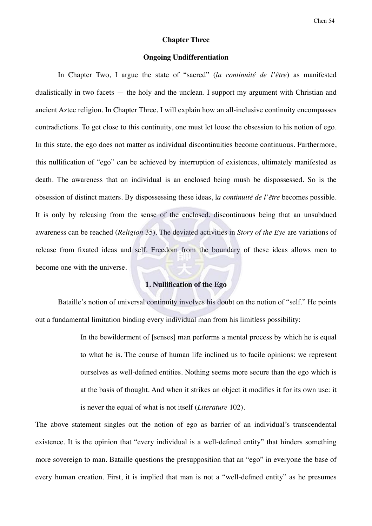#### **Chapter Three**

## **Ongoing Undifferentiation**

In Chapter Two, I argue the state of "sacred" (*la continuité de l'être*) as manifested dualistically in two facets — the holy and the unclean. I support my argument with Christian and ancient Aztec religion. In Chapter Three, I will explain how an all-inclusive continuity encompasses contradictions. To get close to this continuity, one must let loose the obsession to his notion of ego. In this state, the ego does not matter as individual discontinuities become continuous. Furthermore, this nullification of "ego" can be achieved by interruption of existences, ultimately manifested as death. The awareness that an individual is an enclosed being mush be dispossessed. So is the obsession of distinct matters. By dispossessing these ideas, l*a continuité de l'être* becomes possible. It is only by releasing from the sense of the enclosed, discontinuous being that an unsubdued awareness can be reached (*Religion* 35). The deviated activities in *Story of the Eye* are variations of release from fixated ideas and self. Freedom from the boundary of these ideas allows men to become one with the universe.

# **1. Nullification of the Ego**

Bataille's notion of universal continuity involves his doubt on the notion of "self." He points out a fundamental limitation binding every individual man from his limitless possibility:

> In the bewilderment of [senses] man performs a mental process by which he is equal to what he is. The course of human life inclined us to facile opinions: we represent ourselves as well-defined entities. Nothing seems more secure than the ego which is at the basis of thought. And when it strikes an object it modifies it for its own use: it is never the equal of what is not itself (*Literature* 102).

The above statement singles out the notion of ego as barrier of an individual's transcendental existence. It is the opinion that "every individual is a well-defined entity" that hinders something more sovereign to man. Bataille questions the presupposition that an "ego" in everyone the base of every human creation. First, it is implied that man is not a "well-defined entity" as he presumes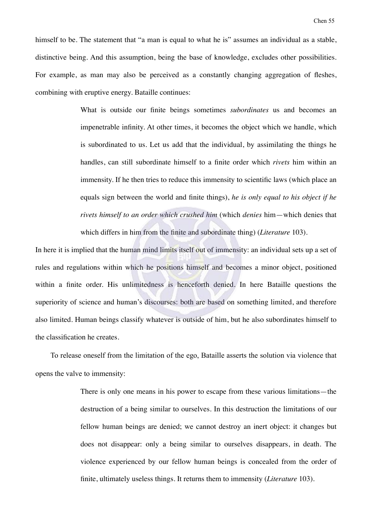himself to be. The statement that "a man is equal to what he is" assumes an individual as a stable, distinctive being. And this assumption, being the base of knowledge, excludes other possibilities. For example, as man may also be perceived as a constantly changing aggregation of fleshes, combining with eruptive energy. Bataille continues:

> What is outside our finite beings sometimes *subordinates* us and becomes an impenetrable infinity. At other times, it becomes the object which we handle, which is subordinated to us. Let us add that the individual, by assimilating the things he handles, can still subordinate himself to a finite order which *rivets* him within an immensity. If he then tries to reduce this immensity to scientific laws (which place an equals sign between the world and finite things), *he is only equal to his object if he rivets himself to an order which crushed him* (which *denies* him—which denies that which differs in him from the finite and subordinate thing) (*Literature* 103).

In here it is implied that the human mind limits itself out of immensity: an individual sets up a set of rules and regulations within which he positions himself and becomes a minor object, positioned within a finite order. His unlimitedness is henceforth denied. In here Bataille questions the superiority of science and human's discourses: both are based on something limited, and therefore also limited. Human beings classify whatever is outside of him, but he also subordinates himself to the classification he creates.

 To release oneself from the limitation of the ego, Bataille asserts the solution via violence that opens the valve to immensity:

> There is only one means in his power to escape from these various limitations—the destruction of a being similar to ourselves. In this destruction the limitations of our fellow human beings are denied; we cannot destroy an inert object: it changes but does not disappear: only a being similar to ourselves disappears, in death. The violence experienced by our fellow human beings is concealed from the order of finite, ultimately useless things. It returns them to immensity (*Literature* 103).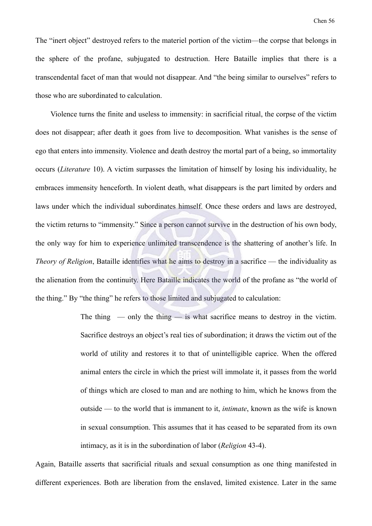The "inert object" destroyed refers to the materiel portion of the victim—the corpse that belongs in the sphere of the profane, subjugated to destruction. Here Bataille implies that there is a transcendental facet of man that would not disappear. And "the being similar to ourselves" refers to those who are subordinated to calculation.

 Violence turns the finite and useless to immensity: in sacrificial ritual, the corpse of the victim does not disappear; after death it goes from live to decomposition. What vanishes is the sense of ego that enters into immensity. Violence and death destroy the mortal part of a being, so immortality occurs (*Literature* 10). A victim surpasses the limitation of himself by losing his individuality, he embraces immensity henceforth. In violent death, what disappears is the part limited by orders and laws under which the individual subordinates himself. Once these orders and laws are destroyed, the victim returns to "immensity." Since a person cannot survive in the destruction of his own body, the only way for him to experience unlimited transcendence is the shattering of another's life. In *Theory of Religion*, Bataille identifies what he aims to destroy in a sacrifice — the individuality as the alienation from the continuity. Here Bataille indicates the world of the profane as "the world of the thing." By "the thing" he refers to those limited and subjugated to calculation:

> The thing  $\sim$  only the thing  $\sim$  is what sacrifice means to destroy in the victim. Sacrifice destroys an object's real ties of subordination; it draws the victim out of the world of utility and restores it to that of unintelligible caprice. When the offered animal enters the circle in which the priest will immolate it, it passes from the world of things which are closed to man and are nothing to him, which he knows from the outside — to the world that is immanent to it, *intimate*, known as the wife is known in sexual consumption. This assumes that it has ceased to be separated from its own intimacy, as it is in the subordination of labor (*Religion* 43-4).

Again, Bataille asserts that sacrificial rituals and sexual consumption as one thing manifested in different experiences. Both are liberation from the enslaved, limited existence. Later in the same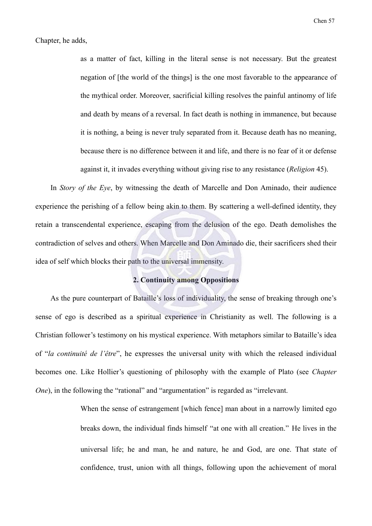Chapter, he adds,

as a matter of fact, killing in the literal sense is not necessary. But the greatest negation of [the world of the things] is the one most favorable to the appearance of the mythical order. Moreover, sacrificial killing resolves the painful antinomy of life and death by means of a reversal. In fact death is nothing in immanence, but because it is nothing, a being is never truly separated from it. Because death has no meaning, because there is no difference between it and life, and there is no fear of it or defense against it, it invades everything without giving rise to any resistance (*Religion* 45).

 In *Story of the Eye*, by witnessing the death of Marcelle and Don Aminado, their audience experience the perishing of a fellow being akin to them. By scattering a well-defined identity, they retain a transcendental experience, escaping from the delusion of the ego. Death demolishes the contradiction of selves and others. When Marcelle and Don Aminado die, their sacrificers shed their idea of self which blocks their path to the universal immensity.

## **2. Continuity among Oppositions**

 As the pure counterpart of Bataille's loss of individuality, the sense of breaking through one's sense of ego is described as a spiritual experience in Christianity as well. The following is a Christian follower's testimony on his mystical experience. With metaphors similar to Bataille's idea of "*la continuité de l'être*", he expresses the universal unity with which the released individual becomes one. Like Hollier's questioning of philosophy with the example of Plato (see *Chapter One*), in the following the "rational" and "argumentation" is regarded as "irrelevant.

> When the sense of estrangement [which fence] man about in a narrowly limited ego breaks down, the individual finds himself "at one with all creation." He lives in the universal life; he and man, he and nature, he and God, are one. That state of confidence, trust, union with all things, following upon the achievement of moral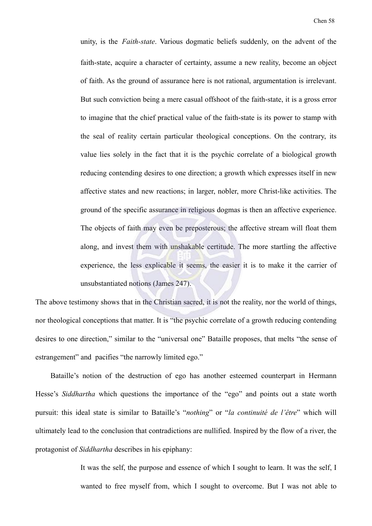unity, is the *Faith-state*. Various dogmatic beliefs suddenly, on the advent of the faith-state, acquire a character of certainty, assume a new reality, become an object of faith. As the ground of assurance here is not rational, argumentation is irrelevant. But such conviction being a mere casual offshoot of the faith-state, it is a gross error to imagine that the chief practical value of the faith-state is its power to stamp with the seal of reality certain particular theological conceptions. On the contrary, its value lies solely in the fact that it is the psychic correlate of a biological growth reducing contending desires to one direction; a growth which expresses itself in new affective states and new reactions; in larger, nobler, more Christ-like activities. The ground of the specific assurance in religious dogmas is then an affective experience. The objects of faith may even be preposterous; the affective stream will float them along, and invest them with unshakable certitude. The more startling the affective experience, the less explicable it seems, the easier it is to make it the carrier of unsubstantiated notions (James 247).

The above testimony shows that in the Christian sacred, it is not the reality, nor the world of things, nor theological conceptions that matter. It is "the psychic correlate of a growth reducing contending desires to one direction," similar to the "universal one" Bataille proposes, that melts "the sense of estrangement" and pacifies "the narrowly limited ego."

 Bataille's notion of the destruction of ego has another esteemed counterpart in Hermann Hesse's *Siddhartha* which questions the importance of the "ego" and points out a state worth pursuit: this ideal state is similar to Bataille's "*nothing*" or "*la continuité de l'être*" which will ultimately lead to the conclusion that contradictions are nullified. Inspired by the flow of a river, the protagonist of *Siddhartha* describes in his epiphany:

> It was the self, the purpose and essence of which I sought to learn. It was the self, I wanted to free myself from, which I sought to overcome. But I was not able to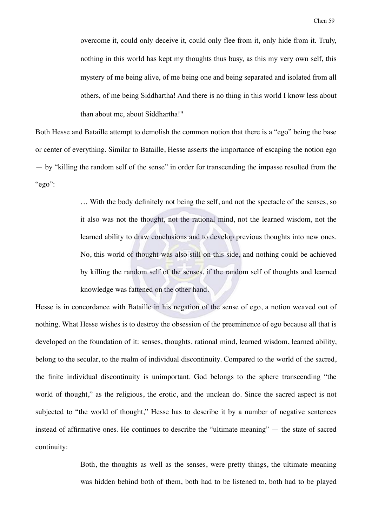overcome it, could only deceive it, could only flee from it, only hide from it. Truly, nothing in this world has kept my thoughts thus busy, as this my very own self, this mystery of me being alive, of me being one and being separated and isolated from all others, of me being Siddhartha! And there is no thing in this world I know less about than about me, about Siddhartha!"

Both Hesse and Bataille attempt to demolish the common notion that there is a "ego" being the base or center of everything. Similar to Bataille, Hesse asserts the importance of escaping the notion ego — by "killing the random self of the sense" in order for transcending the impasse resulted from the "ego":

> … With the body definitely not being the self, and not the spectacle of the senses, so it also was not the thought, not the rational mind, not the learned wisdom, not the learned ability to draw conclusions and to develop previous thoughts into new ones. No, this world of thought was also still on this side, and nothing could be achieved by killing the random self of the senses, if the random self of thoughts and learned knowledge was fattened on the other hand.

Hesse is in concordance with Bataille in his negation of the sense of ego, a notion weaved out of nothing. What Hesse wishes is to destroy the obsession of the preeminence of ego because all that is developed on the foundation of it: senses, thoughts, rational mind, learned wisdom, learned ability, belong to the secular, to the realm of individual discontinuity. Compared to the world of the sacred, the finite individual discontinuity is unimportant. God belongs to the sphere transcending "the world of thought," as the religious, the erotic, and the unclean do. Since the sacred aspect is not subjected to "the world of thought," Hesse has to describe it by a number of negative sentences instead of affirmative ones. He continues to describe the "ultimate meaning" — the state of sacred continuity:

> Both, the thoughts as well as the senses, were pretty things, the ultimate meaning was hidden behind both of them, both had to be listened to, both had to be played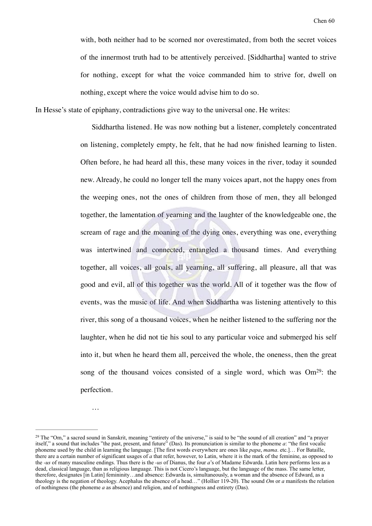with, both neither had to be scorned nor overestimated, from both the secret voices of the innermost truth had to be attentively perceived. [Siddhartha] wanted to strive for nothing, except for what the voice commanded him to strive for, dwell on nothing, except where the voice would advise him to do so.

In Hesse's state of epiphany, contradictions give way to the universal one. He writes:

Siddhartha listened. He was now nothing but a listener, completely concentrated on listening, completely empty, he felt, that he had now finished learning to listen. Often before, he had heard all this, these many voices in the river, today it sounded new. Already, he could no longer tell the many voices apart, not the happy ones from the weeping ones, not the ones of children from those of men, they all belonged together, the lamentation of yearning and the laughter of the knowledgeable one, the scream of rage and the moaning of the dying ones, everything was one, everything was intertwined and connected, entangled a thousand times. And everything together, all voices, all goals, all yearning, all suffering, all pleasure, all that was good and evil, all of this together was the world. All of it together was the flow of events, was the music of life. And when Siddhartha was listening attentively to this river, this song of a thousand voices, when he neither listened to the suffering nor the laughter, when he did not tie his soul to any particular voice and submerged his self into it, but when he heard them all, perceived the whole, the oneness, then the great song of the thousand voices consisted of a single word, which was  $Om<sup>29</sup>$ : the perfection.

…

<sup>&</sup>lt;sup>29</sup> The "Om," a sacred sound in Sanskrit, meaning "entirety of the universe," is said to be "the sound of all creation" and "a prayer itself," a sound that includes "the past, present, and future" (Das). Its pronunciation is similar to the phoneme *a*: "the first vocalic phoneme used by the child in learning the language. [The first words everywhere are ones like *papa*, *mama*. etc.]… For Bataille, there are a certain number of significant usages of *a* that refer, however, to Latin, where it is the mark of the feminine, as opposed to the *-us* of many masculine endings. Thus there is the *-us* of Dianus, the four *a*'s of Madame Edwarda. Latin here performs less as a dead, classical language, than as religious language. This is not Cicero's language, but the language of the mass. The same letter, therefore, designates [in Latin] femininity…and absence: Edwarda is, simultaneously, a woman and the absence of Edward, as a theology is the negation of theology. Acephalus the absence of a head…" (Hollier 119-20). The sound *Om* or *a* manifests the relation of nothingness (the phoneme *a* as absence) and religion, and of nothingness and entirety (Das).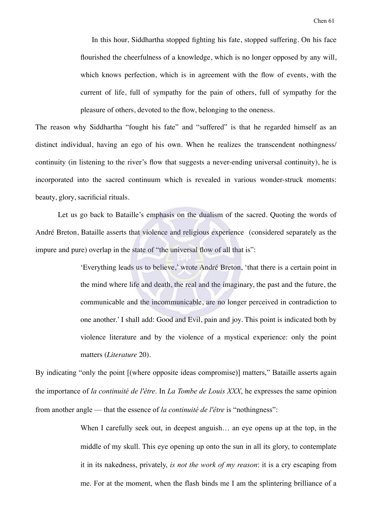In this hour, Siddhartha stopped fighting his fate, stopped suffering. On his face flourished the cheerfulness of a knowledge, which is no longer opposed by any will, which knows perfection, which is in agreement with the flow of events, with the current of life, full of sympathy for the pain of others, full of sympathy for the pleasure of others, devoted to the flow, belonging to the oneness.

The reason why Siddhartha "fought his fate" and "suffered" is that he regarded himself as an distinct individual, having an ego of his own. When he realizes the transcendent nothingness/ continuity (in listening to the river's flow that suggests a never-ending universal continuity), he is incorporated into the sacred continuum which is revealed in various wonder-struck moments: beauty, glory, sacrificial rituals.

Let us go back to Bataille's emphasis on the dualism of the sacred. Quoting the words of André Breton, Bataille asserts that violence and religious experience (considered separately as the impure and pure) overlap in the state of "the universal flow of all that is":

> 'Everything leads us to believe,' wrote André Breton, 'that there is a certain point in the mind where life and death, the real and the imaginary, the past and the future, the communicable and the incommunicable, are no longer perceived in contradiction to one another.' I shall add: Good and Evil, pain and joy. This point is indicated both by violence literature and by the violence of a mystical experience: only the point matters (*Literature* 20).

By indicating "only the point  $[$ (where opposite ideas compromise) $]$  matters," Bataille asserts again the importance of *la continuité de l'être*. In *La Tombe de Louis XXX*, he expresses the same opinion from another angle — that the essence of *la continuité de l'être* is "nothingness":

> When I carefully seek out, in deepest anguish... an eye opens up at the top, in the middle of my skull. This eye opening up onto the sun in all its glory, to contemplate it in its nakedness, privately, *is not the work of my reason*: it is a cry escaping from me. For at the moment, when the flash binds me I am the splintering brilliance of a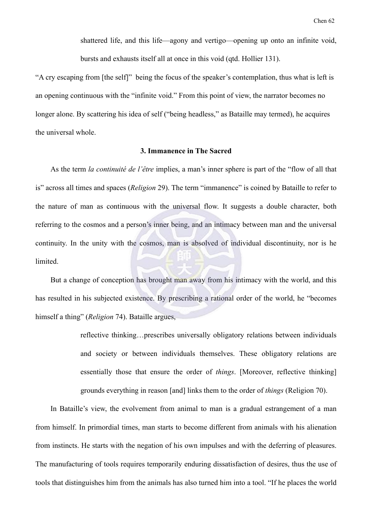shattered life, and this life—agony and vertigo—opening up onto an infinite void, bursts and exhausts itself all at once in this void (qtd. Hollier 131).

"A cry escaping from [the self]" being the focus of the speaker's contemplation, thus what is left is an opening continuous with the "infinite void." From this point of view, the narrator becomes no longer alone. By scattering his idea of self ("being headless," as Bataille may termed), he acquires the universal whole.

## **3. Immanence in The Sacred**

As the term *la continuité de l'être* implies, a man's inner sphere is part of the "flow of all that is" across all times and spaces (*Religion* 29). The term "immanence" is coined by Bataille to refer to the nature of man as continuous with the universal flow. It suggests a double character, both referring to the cosmos and a person's inner being, and an intimacy between man and the universal continuity. In the unity with the cosmos, man is absolved of individual discontinuity, nor is he **limited** 

But a change of conception has brought man away from his intimacy with the world, and this has resulted in his subjected existence. By prescribing a rational order of the world, he "becomes himself a thing" (*Religion* 74). Bataille argues,

> reflective thinking…prescribes universally obligatory relations between individuals and society or between individuals themselves. These obligatory relations are essentially those that ensure the order of *things*. [Moreover, reflective thinking] grounds everything in reason [and] links them to the order of *things* (Religion 70).

 In Bataille's view, the evolvement from animal to man is a gradual estrangement of a man from himself. In primordial times, man starts to become different from animals with his alienation from instincts. He starts with the negation of his own impulses and with the deferring of pleasures. The manufacturing of tools requires temporarily enduring dissatisfaction of desires, thus the use of tools that distinguishes him from the animals has also turned him into a tool. "If he places the world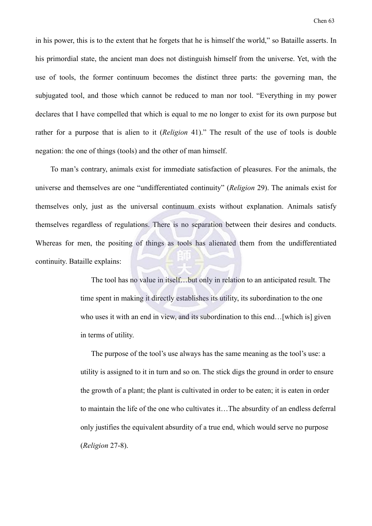in his power, this is to the extent that he forgets that he is himself the world," so Bataille asserts. In his primordial state, the ancient man does not distinguish himself from the universe. Yet, with the use of tools, the former continuum becomes the distinct three parts: the governing man, the subjugated tool, and those which cannot be reduced to man nor tool. "Everything in my power declares that I have compelled that which is equal to me no longer to exist for its own purpose but rather for a purpose that is alien to it (*Religion* 41)." The result of the use of tools is double negation: the one of things (tools) and the other of man himself.

 To man's contrary, animals exist for immediate satisfaction of pleasures. For the animals, the universe and themselves are one "undifferentiated continuity" (*Religion* 29). The animals exist for themselves only, just as the universal continuum exists without explanation. Animals satisfy themselves regardless of regulations. There is no separation between their desires and conducts. Whereas for men, the positing of things as tools has alienated them from the undifferentiated continuity. Bataille explains:

> The tool has no value in itself...but only in relation to an anticipated result. The time spent in making it directly establishes its utility, its subordination to the one who uses it with an end in view, and its subordination to this end...[which is] given in terms of utility.

The purpose of the tool's use always has the same meaning as the tool's use: a utility is assigned to it in turn and so on. The stick digs the ground in order to ensure the growth of a plant; the plant is cultivated in order to be eaten; it is eaten in order to maintain the life of the one who cultivates it…The absurdity of an endless deferral only justifies the equivalent absurdity of a true end, which would serve no purpose (*Religion* 27-8).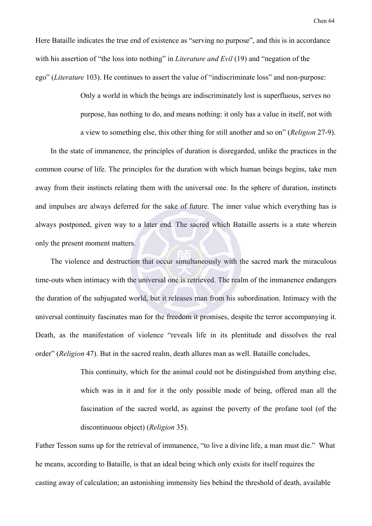Here Bataille indicates the true end of existence as "serving no purpose", and this is in accordance with his assertion of "the loss into nothing" in *Literature and Evil* (19) and "negation of the ego" (*Literature* 103). He continues to assert the value of "indiscriminate loss" and non-purpose:

> Only a world in which the beings are indiscriminately lost is superfluous, serves no purpose, has nothing to do, and means nothing: it only has a value in itself, not with a view to something else, this other thing for still another and so on" (*Religion* 27-9).

 In the state of immanence, the principles of duration is disregarded, unlike the practices in the common course of life. The principles for the duration with which human beings begins, take men away from their instincts relating them with the universal one. In the sphere of duration, instincts and impulses are always deferred for the sake of future. The inner value which everything has is always postponed, given way to a later end. The sacred which Bataille asserts is a state wherein only the present moment matters.

The violence and destruction that occur simultaneously with the sacred mark the miraculous time-outs when intimacy with the universal one is retrieved. The realm of the immanence endangers the duration of the subjugated world, but it releases man from his subordination. Intimacy with the universal continuity fascinates man for the freedom it promises, despite the terror accompanying it. Death, as the manifestation of violence "reveals life in its plentitude and dissolves the real order" (*Religion* 47). But in the sacred realm, death allures man as well. Bataille concludes,

> This continuity, which for the animal could not be distinguished from anything else, which was in it and for it the only possible mode of being, offered man all the fascination of the sacred world, as against the poverty of the profane tool (of the discontinuous object) (*Religion* 35).

Father Tesson sums up for the retrieval of immanence, "to live a divine life, a man must die." What he means, according to Bataille, is that an ideal being which only exists for itself requires the casting away of calculation; an astonishing immensity lies behind the threshold of death, available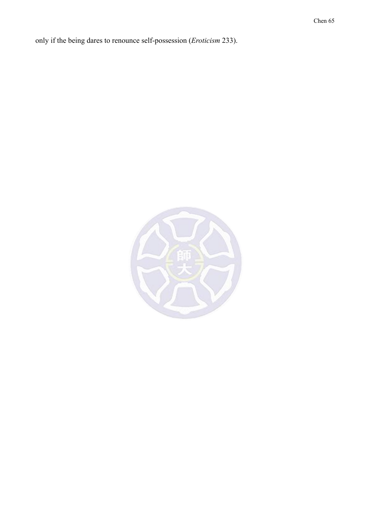only if the being dares to renounce self-possession (*Eroticism* 233).

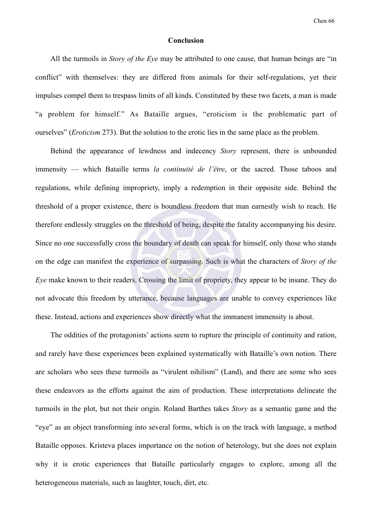#### **Conclusion**

 All the turmoils in *Story of the Eye* may be attributed to one cause, that human beings are "in conflict" with themselves: they are differed from animals for their self-regulations, yet their impulses compel them to trespass limits of all kinds. Constituted by these two facets, a man is made "a problem for himself." As Bataille argues, "eroticism is the problematic part of ourselves" (*Eroticism* 273). But the solution to the erotic lies in the same place as the problem.

 Behind the appearance of lewdness and indecency *Story* represent, there is unbounded immensity — which Bataille terms *la continuité de l'être*, or the sacred. Those taboos and regulations, while defining impropriety, imply a redemption in their opposite side. Behind the threshold of a proper existence, there is boundless freedom that man earnestly wish to reach. He therefore endlessly struggles on the threshold of being, despite the fatality accompanying his desire. Since no one successfully cross the boundary of death can speak for himself, only those who stands on the edge can manifest the experience of surpassing. Such is what the characters of *Story of the Eye* make known to their readers. Crossing the limit of propriety, they appear to be insane. They do not advocate this freedom by utterance, because languages are unable to convey experiences like these. Instead, actions and experiences show directly what the immanent immensity is about.

 The oddities of the protagonists' actions seem to rupture the principle of continuity and ration, and rarely have these experiences been explained systematically with Bataille's own notion. There are scholars who sees these turmoils as "virulent nihilism" (Land), and there are some who sees these endeavors as the efforts against the aim of production. These interpretations delineate the turmoils in the plot, but not their origin. Roland Barthes takes *Story* as a semantic game and the "eye" as an object transforming into several forms, which is on the track with language, a method Bataille opposes. Kristeva places importance on the notion of heterology, but she does not explain why it is erotic experiences that Bataille particularly engages to explore, among all the heterogeneous materials, such as laughter, touch, dirt, etc.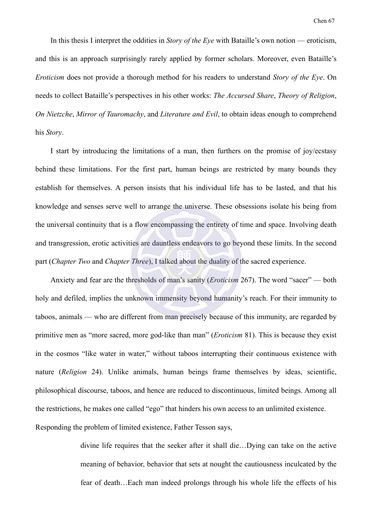In this thesis I interpret the oddities in *Story of the Eye* with Bataille's own notion — eroticism, and this is an approach surprisingly rarely applied by former scholars. Moreover, even Bataille's *Eroticism* does not provide a thorough method for his readers to understand *Story of the Eye*. On needs to collect Bataille's perspectives in his other works: *The Accursed Share*, *Theory of Religion*, *On Nietzche*, *Mirror of Tauromachy*, and *Literature and Evil*, to obtain ideas enough to comprehend his *Story*.

 I start by introducing the limitations of a man, then furthers on the promise of joy/ecstasy behind these limitations. For the first part, human beings are restricted by many bounds they establish for themselves. A person insists that his individual life has to be lasted, and that his knowledge and senses serve well to arrange the universe. These obsessions isolate his being from the universal continuity that is a flow encompassing the entirety of time and space. Involving death and transgression, erotic activities are dauntless endeavors to go beyond these limits. In the second part (*Chapter Two* and *Chapter Three*), I talked about the duality of the sacred experience.

 Anxiety and fear are the thresholds of man's sanity (*Eroticism* 267). The word "sacer" — both holy and defiled, implies the unknown immensity beyond humanity's reach. For their immunity to taboos, animals — who are different from man precisely because of this immunity, are regarded by primitive men as "more sacred, more god-like than man" (*Eroticism* 81). This is because they exist in the cosmos "like water in water," without taboos interrupting their continuous existence with nature (*Religion* 24). Unlike animals, human beings frame themselves by ideas, scientific, philosophical discourse, taboos, and hence are reduced to discontinuous, limited beings. Among all the restrictions, he makes one called "ego" that hinders his own access to an unlimited existence. Responding the problem of limited existence, Father Tesson says,

> divine life requires that the seeker after it shall die…Dying can take on the active meaning of behavior, behavior that sets at nought the cautiousness inculcated by the fear of death…Each man indeed prolongs through his whole life the effects of his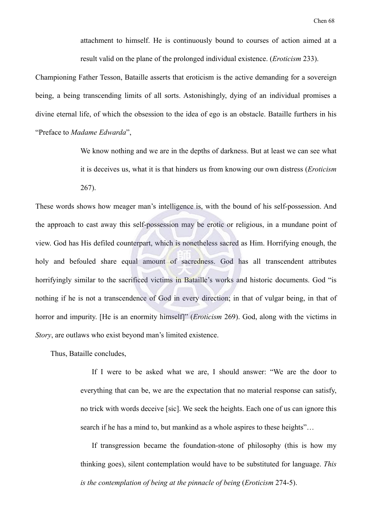attachment to himself. He is continuously bound to courses of action aimed at a result valid on the plane of the prolonged individual existence. (*Eroticism* 233).

Championing Father Tesson, Bataille asserts that eroticism is the active demanding for a sovereign being, a being transcending limits of all sorts. Astonishingly, dying of an individual promises a divine eternal life, of which the obsession to the idea of ego is an obstacle. Bataille furthers in his "Preface to *Madame Edwarda*",

> We know nothing and we are in the depths of darkness. But at least we can see what it is deceives us, what it is that hinders us from knowing our own distress (*Eroticism* 267).

These words shows how meager man's intelligence is, with the bound of his self-possession. And the approach to cast away this self-possession may be erotic or religious, in a mundane point of view. God has His defiled counterpart, which is nonetheless sacred as Him. Horrifying enough, the holy and befouled share equal amount of sacredness. God has all transcendent attributes horrifyingly similar to the sacrificed victims in Bataille's works and historic documents. God "is nothing if he is not a transcendence of God in every direction; in that of vulgar being, in that of horror and impurity. [He is an enormity himself]" (*Eroticism* 269). God, along with the victims in *Story*, are outlaws who exist beyond man's limited existence.

Thus, Bataille concludes,

If I were to be asked what we are, I should answer: "We are the door to everything that can be, we are the expectation that no material response can satisfy, no trick with words deceive [sic]. We seek the heights. Each one of us can ignore this search if he has a mind to, but mankind as a whole aspires to these heights"…

If transgression became the foundation-stone of philosophy (this is how my thinking goes), silent contemplation would have to be substituted for language. *This is the contemplation of being at the pinnacle of being* (*Eroticism* 274-5).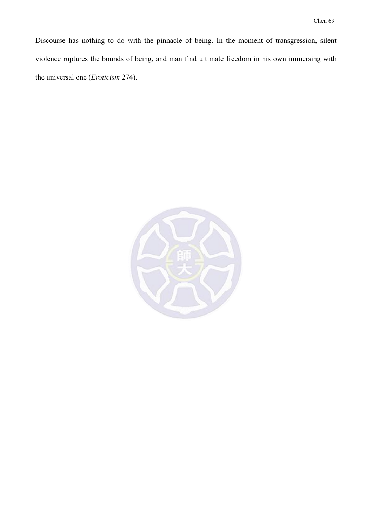Discourse has nothing to do with the pinnacle of being. In the moment of transgression, silent violence ruptures the bounds of being, and man find ultimate freedom in his own immersing with the universal one (*Eroticism* 274).

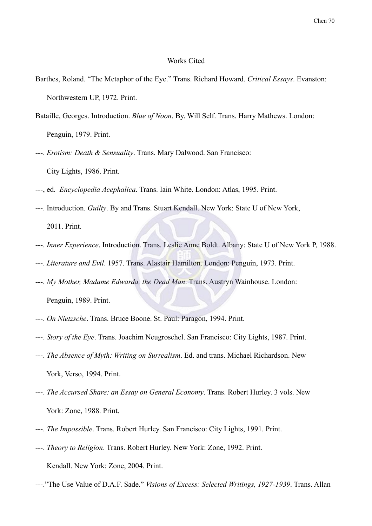## Works Cited

- Barthes, Roland. "The Metaphor of the Eye." Trans. Richard Howard. *Critical Essays*. Evanston: Northwestern UP, 1972. Print.
- Bataille, Georges. Introduction. *Blue of Noon*. By. Will Self. Trans. Harry Mathews. London: Penguin, 1979. Print.
- ---. *Erotism: Death & Sensuality*. Trans. Mary Dalwood. San Francisco: City Lights, 1986. Print.
- ---, ed. *Encyclopedia Acephalica*. Trans. Iain White. London: Atlas, 1995. Print.
- ---. Introduction. *Guilty*. By and Trans. Stuart Kendall. New York: State U of New York, 2011. Print.
- ---. *Inner Experience*. Introduction. Trans. Leslie Anne Boldt. Albany: State U of New York P, 1988.
- ---. *Literature and Evil*. 1957. Trans. Alastair Hamilton. London: Penguin, 1973. Print.
- ---. *My Mother, Madame Edwarda, the Dead Man*. Trans. Austryn Wainhouse. London: Penguin, 1989. Print.
- ---. *On Nietzsche*. Trans. Bruce Boone. St. Paul: Paragon, 1994. Print.
- ---. *Story of the Eye*. Trans. Joachim Neugroschel. San Francisco: City Lights, 1987. Print.
- ---. *The Absence of Myth: Writing on Surrealism*. Ed. and trans. Michael Richardson. New York, Verso, 1994. Print.
- ---. *The Accursed Share: an Essay on General Economy*. Trans. Robert Hurley. 3 vols. New York: Zone, 1988. Print.
- ---. *The Impossible*. Trans. Robert Hurley. San Francisco: City Lights, 1991. Print.
- ---. *Theory to Religion*. Trans. Robert Hurley. New York: Zone, 1992. Print. Kendall. New York: Zone, 2004. Print.
- ---."The Use Value of D.A.F. Sade." *Visions of Excess: Selected Writings, 1927-1939*. Trans. Allan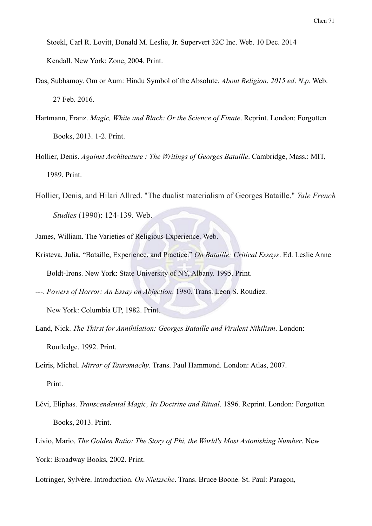Stoekl, Carl R. Lovitt, Donald M. Leslie, Jr. Supervert 32C Inc. Web. 10 Dec. 2014 Kendall. New York: Zone, 2004. Print.

- Das, Subhamoy. Om or Aum: Hindu Symbol of the Absolute. *About Religion*. *2015 ed*. *N*.*p*. Web. 27 Feb. 2016.
- Hartmann, Franz. *Magic, White and Black: Or the Science of Finate*. Reprint. London: Forgotten Books, 2013. 1-2. Print.
- Hollier, Denis. *Against Architecture : The Writings of Georges Bataille*. Cambridge, Mass.: MIT, 1989. Print.
- Hollier, Denis, and Hilari Allred. "The dualist materialism of Georges Bataille." *Yale French Studies* (1990): 124-139. Web.
- James, William. The Varieties of Religious Experience. Web.
- Kristeva, Julia. "Bataille, Experience, and Practice." *On Bataille: Critical Essays*. Ed. Leslie Anne Boldt-Irons. New York: State University of NY, Albany. 1995. Print.
- ---. *Powers of Horror: An Essay on Abjection*. 1980. Trans. Leon S. Roudiez. New York: Columbia UP, 1982. Print.
- Land, Nick. *The Thirst for Annihilation: Georges Bataille and Virulent Nihilism*. London: Routledge. 1992. Print.
- Leiris, Michel. *Mirror of Tauromachy*. Trans. Paul Hammond. London: Atlas, 2007. Print.
- Lévi, Eliphas. *Transcendental Magic, Its Doctrine and Ritual*. 1896. Reprint. London: Forgotten Books, 2013. Print.
- Livio, Mario. *The Golden Ratio: The Story of Phi, the World's Most Astonishing Number*. New York: Broadway Books, 2002. Print.
- Lotringer, Sylvère. Introduction. *On Nietzsche*. Trans. Bruce Boone. St. Paul: Paragon,